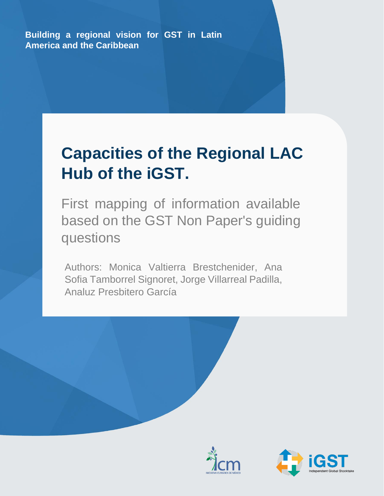**Building a regional vision for GST in Latin America and the Caribbean**

# **Capacities of the Regional LAC Hub of the iGST.**

First mapping of information available based on the GST Non Paper's guiding questions

Authors: Monica Valtierra Brestchenider, Ana Sofia Tamborrel Signoret, Jorge Villarreal Padilla, Analuz Presbitero García





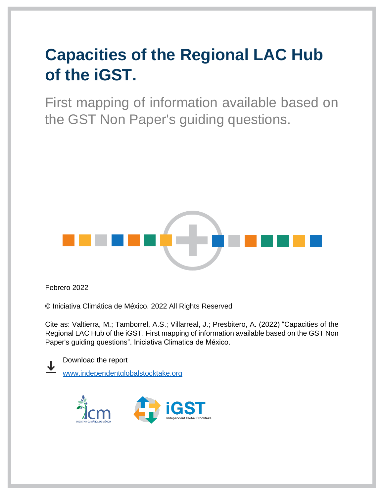First mapping of information available based on the GST Non Paper's guiding questions.



Febrero 2022

© Iniciativa Climática de México. 2022 All Rights Reserved

Cite as: Valtierra, M.; Tamborrel, A.S.; Villarreal, J.; Presbitero, A. (2022) "Capacities of the Regional LAC Hub of the iGST. First mapping of information available based on the GST Non Paper's guiding questions". Iniciativa Climatica de México.



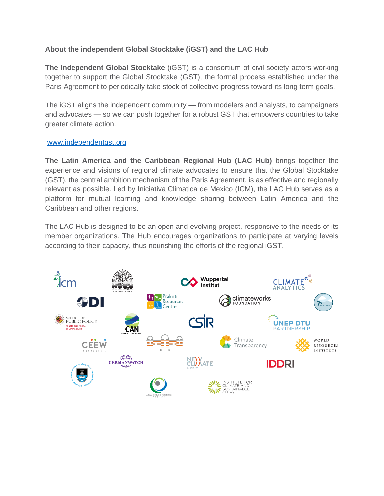#### **About the independent Global Stocktake (iGST) and the LAC Hub**

**The Independent Global Stocktake** (iGST) is a consortium of civil society actors working together to support the Global Stocktake (GST), the formal process established under the Paris Agreement to periodically take stock of collective progress toward its long term goals.

The iGST aligns the independent community — from modelers and analysts, to campaigners and advocates — so we can push together for a robust GST that empowers countries to take greater climate action.

#### [www.independentgst.org](http://www.independentgst.org/)

**The Latin America and the Caribbean Regional Hub (LAC Hub)** brings together the experience and visions of regional climate advocates to ensure that the Global Stocktake (GST), the central ambition mechanism of the Paris Agreement, is as effective and regionally relevant as possible. Led by Iniciativa Climatica de Mexico (ICM), the LAC Hub serves as a platform for mutual learning and knowledge sharing between Latin America and the Caribbean and other regions.

The LAC Hub is designed to be an open and evolving project, responsive to the needs of its member organizations. The Hub encourages organizations to participate at varying levels according to their capacity, thus nourishing the efforts of the regional iGST.

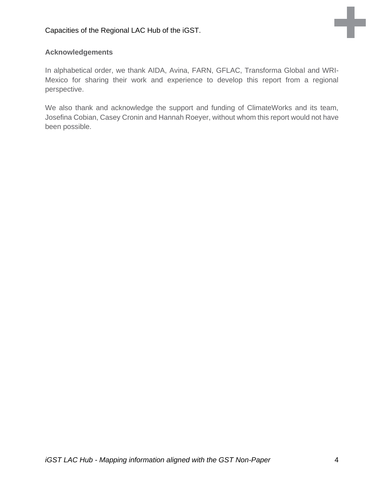

### **Acknowledgements**

In alphabetical order, we thank AIDA, Avina, FARN, GFLAC, Transforma Global and WRI-Mexico for sharing their work and experience to develop this report from a regional perspective.

We also thank and acknowledge the support and funding of ClimateWorks and its team, Josefina Cobian, Casey Cronin and Hannah Roeyer, without whom this report would not have been possible.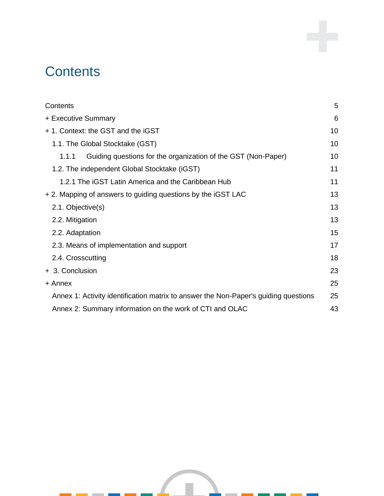## <span id="page-4-0"></span>**Contents**

| Contents                                                                            | 5  |
|-------------------------------------------------------------------------------------|----|
| + Executive Summary                                                                 | 6  |
| + 1. Context: the GST and the iGST                                                  | 10 |
| 1.1. The Global Stocktake (GST)                                                     | 10 |
| Guiding questions for the organization of the GST (Non-Paper)<br>1.1.1              | 10 |
| 1.2. The independent Global Stocktake (iGST)                                        | 11 |
| 1.2.1 The iGST Latin America and the Caribbean Hub                                  | 11 |
| + 2. Mapping of answers to guiding questions by the iGST LAC                        | 13 |
| 2.1. Objective(s)                                                                   | 13 |
| 2.2. Mitigation                                                                     | 13 |
| 2.2. Adaptation                                                                     | 15 |
| 2.3. Means of implementation and support                                            | 17 |
| 2.4. Crosscutting                                                                   | 18 |
| + 3. Conclusion                                                                     | 23 |
| + Annex                                                                             | 25 |
| Annex 1: Activity identification matrix to answer the Non-Paper's guiding questions | 25 |
| Annex 2: Summary information on the work of CTI and OLAC                            | 43 |
|                                                                                     |    |

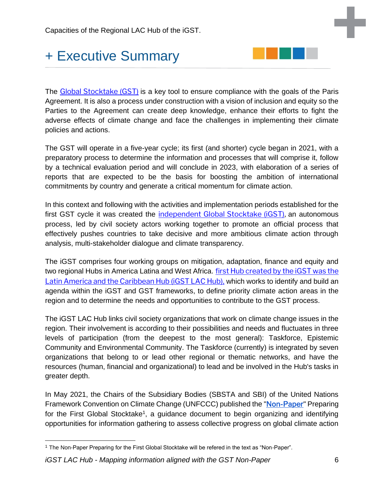## <span id="page-5-0"></span>+ Executive Summary



The [Global Stocktake \(GST\)](https://unfccc.int/topics/global-stocktake) is a key tool to ensure compliance with the goals of the Paris Agreement. It is also a process under construction with a vision of inclusion and equity so the Parties to the Agreement can create deep knowledge, enhance their efforts to fight the adverse effects of climate change and face the challenges in implementing their climate policies and actions.

The GST will operate in a five-year cycle; its first (and shorter) cycle began in 2021, with a preparatory process to determine the information and processes that will comprise it, follow by a technical evaluation period and will conclude in 2023, with elaboration of a series of reports that are expected to be the basis for boosting the ambition of international commitments by country and generate a critical momentum for climate action.

In this context and following with the activities and implementation periods established for the first GST cycle it was created the [independent Global Stocktake \(iGST\),](https://www.climateworks.org/independent-global-stocktake/) an autonomous process, led by civil society actors working together to promote an official process that effectively pushes countries to take decisive and more ambitious climate action through analysis, multi-stakeholder dialogue and climate transparency.

The iGST comprises four working groups on mitigation, adaptation, finance and equity and two regional Hubs in America Latina and West Africa. [first Hub created by the iGST](https://www.climateworks.org/independent-global-stocktake/igst-lac-regional-hub/) was the [Latin America and the Caribbean Hub \(iGST LAC Hub\),](https://www.climateworks.org/independent-global-stocktake/igst-lac-regional-hub/) which works to identify and build an agenda within the iGST and GST frameworks, to define priority climate action areas in the region and to determine the needs and opportunities to contribute to the GST process.

The iGST LAC Hub links civil society organizations that work on climate change issues in the region. Their involvement is according to their possibilities and needs and fluctuates in three levels of participation (from the deepest to the most general): Taskforce, Epistemic Community and Environmental Community. The Taskforce (currently) is integrated by seven organizations that belong to or lead other regional or thematic networks, and have the resources (human, financial and organizational) to lead and be involved in the Hub's tasks in greater depth.

In May 2021, the Chairs of the Subsidiary Bodies (SBSTA and SBI) of the United Nations Framework Convention on Climate Change (UNFCCC) published the "[Non-Paper](https://unfccc.int/sites/default/files/resource/Non-paper%20on%20Preparing%20for%20GST1_0.pdf)" Preparing for the First Global Stocktake<sup>1</sup>, a guidance document to begin organizing and identifying opportunities for information gathering to assess collective progress on global climate action

*iGST LAC Hub - Mapping information aligned with the GST Non-Paper* 6

<sup>1</sup> The Non-Paper Preparing for the First Global Stocktake will be refered in the text as "Non-Paper".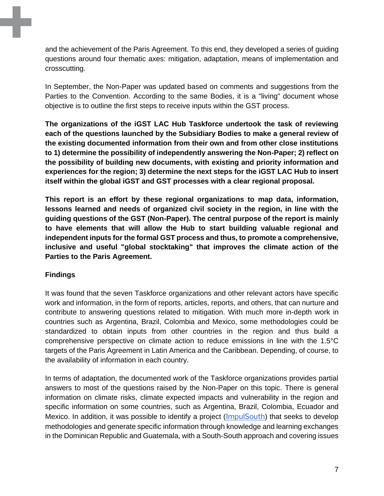and the achievement of the Paris Agreement. To this end, they developed a series of guiding questions around four thematic axes: mitigation, adaptation, means of implementation and crosscutting.

In September, the Non-Paper was updated based on comments and suggestions from the Parties to the Convention. According to the same Bodies, it is a "living" document whose objective is to outline the first steps to receive inputs within the GST process.

**The organizations of the iGST LAC Hub Taskforce undertook the task of reviewing each of the questions launched by the Subsidiary Bodies to make a general review of the existing documented information from their own and from other close institutions to 1) determine the possibility of independently answering the Non-Paper; 2) reflect on the possibility of building new documents, with existing and priority information and experiences for the region; 3) determine the next steps for the iGST LAC Hub to insert itself within the global iGST and GST processes with a clear regional proposal.**

**This report is an effort by these regional organizations to map data, information, lessons learned and needs of organized civil society in the region, in line with the guiding questions of the GST (Non-Paper). The central purpose of the report is mainly to have elements that will allow the Hub to start building valuable regional and independent inputs for the formal GST process and thus, to promote a comprehensive, inclusive and useful "global stocktaking" that improves the climate action of the Parties to the Paris Agreement.**

#### **Findings**

It was found that the seven Taskforce organizations and other relevant actors have specific work and information, in the form of reports, articles, reports, and others, that can nurture and contribute to answering questions related to mitigation. With much more in-depth work in countries such as Argentina, Brazil, Colombia and Mexico, some methodologies could be standardized to obtain inputs from other countries in the region and thus build a comprehensive perspective on climate action to reduce emissions in line with the 1.5°C targets of the Paris Agreement in Latin America and the Caribbean. Depending, of course, to the availability of information in each country.

In terms of adaptation, the documented work of the Taskforce organizations provides partial answers to most of the questions raised by the Non-Paper on this topic. There is general information on climate risks, climate expected impacts and vulnerability in the region and specific information on some countries, such as Argentina, Brazil, Colombia, Ecuador and Mexico. In addition, it was possible to identify a project ([ImpulSouth](https://impulsouth.org/)) that seeks to develop methodologies and generate specific information through knowledge and learning exchanges in the Dominican Republic and Guatemala, with a South-South approach and covering issues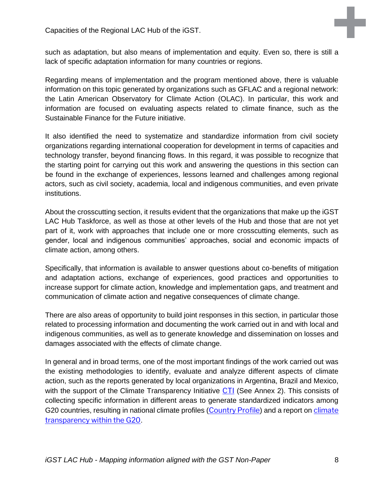such as adaptation, but also means of implementation and equity. Even so, there is still a lack of specific adaptation information for many countries or regions.

Regarding means of implementation and the program mentioned above, there is valuable information on this topic generated by organizations such as GFLAC and a regional network: the Latin American Observatory for Climate Action (OLAC). In particular, this work and information are focused on evaluating aspects related to climate finance, such as the Sustainable Finance for the Future initiative.

It also identified the need to systematize and standardize information from civil society organizations regarding international cooperation for development in terms of capacities and technology transfer, beyond financing flows. In this regard, it was possible to recognize that the starting point for carrying out this work and answering the questions in this section can be found in the exchange of experiences, lessons learned and challenges among regional actors, such as civil society, academia, local and indigenous communities, and even private institutions.

About the crosscutting section, it results evident that the organizations that make up the iGST LAC Hub Taskforce, as well as those at other levels of the Hub and those that are not yet part of it, work with approaches that include one or more crosscutting elements, such as gender, local and indigenous communities' approaches, social and economic impacts of climate action, among others.

Specifically, that information is available to answer questions about co-benefits of mitigation and adaptation actions, exchange of experiences, good practices and opportunities to increase support for climate action, knowledge and implementation gaps, and treatment and communication of climate action and negative consequences of climate change.

There are also areas of opportunity to build joint responses in this section, in particular those related to processing information and documenting the work carried out in and with local and indigenous communities, as well as to generate knowledge and dissemination on losses and damages associated with the effects of climate change.

In general and in broad terms, one of the most important findings of the work carried out was the existing methodologies to identify, evaluate and analyze different aspects of climate action, such as the reports generated by local organizations in Argentina, Brazil and Mexico, with the support of the Climate Transparency Initiative [CTI](https://www.climate-transparency.org/) (See Annex 2). This consists of collecting specific information in different areas to generate standardized indicators among G20 countries, resulting in national climate profiles ([Country Profile](https://www.climate-transparency.org/countries)) and a report on climate [transparency within the G20](https://www.climate-transparency.org/g20-climate-performance).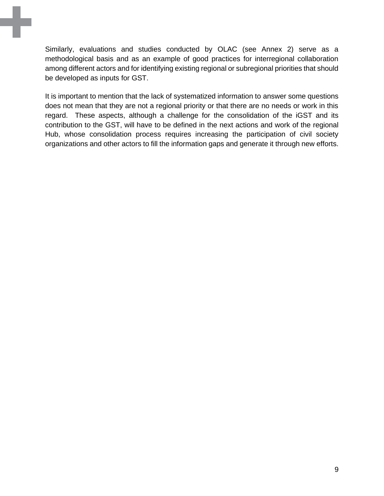Similarly, evaluations and studies conducted by OLAC (see Annex 2) serve as a methodological basis and as an example of good practices for interregional collaboration among different actors and for identifying existing regional or subregional priorities that should be developed as inputs for GST.

It is important to mention that the lack of systematized information to answer some questions does not mean that they are not a regional priority or that there are no needs or work in this regard. These aspects, although a challenge for the consolidation of the iGST and its contribution to the GST, will have to be defined in the next actions and work of the regional Hub, whose consolidation process requires increasing the participation of civil society organizations and other actors to fill the information gaps and generate it through new efforts.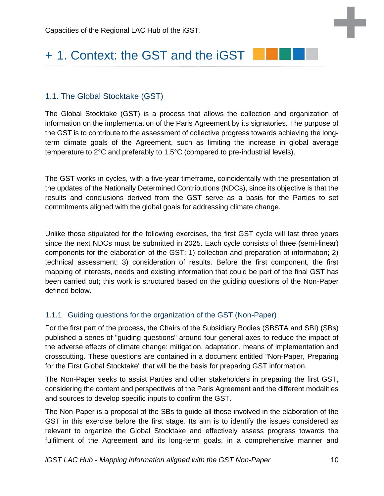## <span id="page-9-0"></span>+ 1. Context: the GST and the iGST

#### <span id="page-9-1"></span>1.1. The Global Stocktake (GST)

The Global Stocktake (GST) is a process that allows the collection and organization of information on the implementation of the Paris Agreement by its signatories. The purpose of the GST is to contribute to the assessment of collective progress towards achieving the longterm climate goals of the Agreement, such as limiting the increase in global average temperature to 2°C and preferably to 1.5°C (compared to pre-industrial levels).

The GST works in cycles, with a five-year timeframe, coincidentally with the presentation of the updates of the Nationally Determined Contributions (NDCs), since its objective is that the results and conclusions derived from the GST serve as a basis for the Parties to set commitments aligned with the global goals for addressing climate change.

Unlike those stipulated for the following exercises, the first GST cycle will last three years since the next NDCs must be submitted in 2025. Each cycle consists of three (semi-linear) components for the elaboration of the GST: 1) collection and preparation of information; 2) technical assessment; 3) consideration of results. Before the first component, the first mapping of interests, needs and existing information that could be part of the final GST has been carried out; this work is structured based on the guiding questions of the Non-Paper defined below.

#### <span id="page-9-2"></span>1.1.1 Guiding questions for the organization of the GST (Non-Paper)

For the first part of the process, the Chairs of the Subsidiary Bodies (SBSTA and SBI) (SBs) published a series of "guiding questions" around four general axes to reduce the impact of the adverse effects of climate change: mitigation, adaptation, means of implementation and crosscutting. These questions are contained in a document entitled "Non-Paper, Preparing for the First Global Stocktake" that will be the basis for preparing GST information.

The Non-Paper seeks to assist Parties and other stakeholders in preparing the first GST, considering the content and perspectives of the Paris Agreement and the different modalities and sources to develop specific inputs to confirm the GST.

The Non-Paper is a proposal of the SBs to guide all those involved in the elaboration of the GST in this exercise before the first stage. Its aim is to identify the issues considered as relevant to organize the Global Stocktake and effectively assess progress towards the fulfilment of the Agreement and its long-term goals, in a comprehensive manner and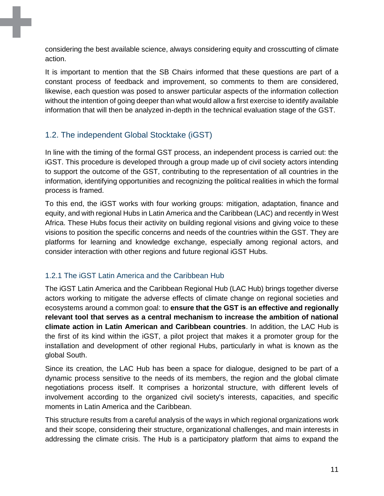considering the best available science, always considering equity and crosscutting of climate action.

It is important to mention that the SB Chairs informed that these questions are part of a constant process of feedback and improvement, so comments to them are considered, likewise, each question was posed to answer particular aspects of the information collection without the intention of going deeper than what would allow a first exercise to identify available information that will then be analyzed in-depth in the technical evaluation stage of the GST.

### <span id="page-10-0"></span>1.2. The independent Global Stocktake (iGST)

In line with the timing of the formal GST process, an independent process is carried out: the iGST. This procedure is developed through a group made up of civil society actors intending to support the outcome of the GST, contributing to the representation of all countries in the information, identifying opportunities and recognizing the political realities in which the formal process is framed.

To this end, the iGST works with four working groups: mitigation, adaptation, finance and equity, and with regional Hubs in Latin America and the Caribbean (LAC) and recently in West Africa. These Hubs focus their activity on building regional visions and giving voice to these visions to position the specific concerns and needs of the countries within the GST. They are platforms for learning and knowledge exchange, especially among regional actors, and consider interaction with other regions and future regional iGST Hubs.

### <span id="page-10-1"></span>1.2.1 The iGST Latin America and the Caribbean Hub

The iGST Latin America and the Caribbean Regional Hub (LAC Hub) brings together diverse actors working to mitigate the adverse effects of climate change on regional societies and ecosystems around a common goal: to **ensure that the GST is an effective and regionally relevant tool that serves as a central mechanism to increase the ambition of national climate action in Latin American and Caribbean countries**. In addition, the LAC Hub is the first of its kind within the iGST, a pilot project that makes it a promoter group for the installation and development of other regional Hubs, particularly in what is known as the global South.

Since its creation, the LAC Hub has been a space for dialogue, designed to be part of a dynamic process sensitive to the needs of its members, the region and the global climate negotiations process itself. It comprises a horizontal structure, with different levels of involvement according to the organized civil society's interests, capacities, and specific moments in Latin America and the Caribbean.

This structure results from a careful analysis of the ways in which regional organizations work and their scope, considering their structure, organizational challenges, and main interests in addressing the climate crisis. The Hub is a participatory platform that aims to expand the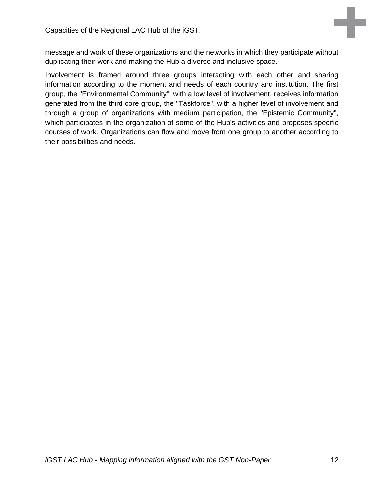

message and work of these organizations and the networks in which they participate without duplicating their work and making the Hub a diverse and inclusive space.

Involvement is framed around three groups interacting with each other and sharing information according to the moment and needs of each country and institution. The first group, the "Environmental Community", with a low level of involvement, receives information generated from the third core group, the "Taskforce", with a higher level of involvement and through a group of organizations with medium participation, the "Epistemic Community", which participates in the organization of some of the Hub's activities and proposes specific courses of work. Organizations can flow and move from one group to another according to their possibilities and needs.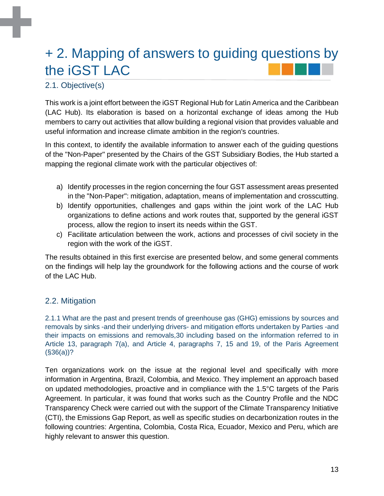## <span id="page-12-0"></span>+ 2. Mapping of answers to guiding questions by the iGST LAC

## <span id="page-12-1"></span>2.1. Objective(s)

This work is a joint effort between the iGST Regional Hub for Latin America and the Caribbean (LAC Hub). Its elaboration is based on a horizontal exchange of ideas among the Hub members to carry out activities that allow building a regional vision that provides valuable and useful information and increase climate ambition in the region's countries.

In this context, to identify the available information to answer each of the guiding questions of the "Non-Paper" presented by the Chairs of the GST Subsidiary Bodies, the Hub started a mapping the regional climate work with the particular objectives of:

- a) Identify processes in the region concerning the four GST assessment areas presented in the "Non-Paper": mitigation, adaptation, means of implementation and crosscutting.
- b) Identify opportunities, challenges and gaps within the joint work of the LAC Hub organizations to define actions and work routes that, supported by the general iGST process, allow the region to insert its needs within the GST.
- c) Facilitate articulation between the work, actions and processes of civil society in the region with the work of the iGST.

The results obtained in this first exercise are presented below, and some general comments on the findings will help lay the groundwork for the following actions and the course of work of the LAC Hub.

### <span id="page-12-2"></span>2.2. Mitigation

2.1.1 What are the past and present trends of greenhouse gas (GHG) emissions by sources and removals by sinks -and their underlying drivers- and mitigation efforts undertaken by Parties -and their impacts on emissions and removals,30 including based on the information referred to in Article 13, paragraph 7(a), and Article 4, paragraphs 7, 15 and 19, of the Paris Agreement (§36(a))?

Ten organizations work on the issue at the regional level and specifically with more information in Argentina, Brazil, Colombia, and Mexico. They implement an approach based on updated methodologies, proactive and in compliance with the 1.5°C targets of the Paris Agreement. In particular, it was found that works such as the Country Profile and the NDC Transparency Check were carried out with the support of the Climate Transparency Initiative (CTI), the Emissions Gap Report, as well as specific studies on decarbonization routes in the following countries: Argentina, Colombia, Costa Rica, Ecuador, Mexico and Peru, which are highly relevant to answer this question.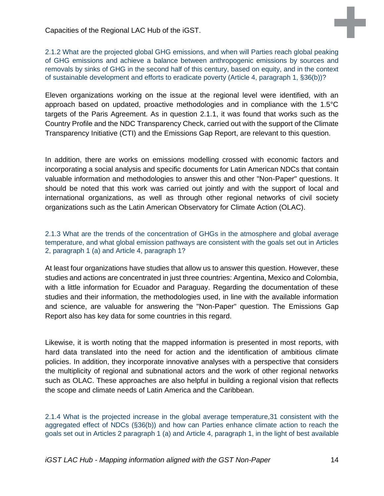2.1.2 What are the projected global GHG emissions, and when will Parties reach global peaking of GHG emissions and achieve a balance between anthropogenic emissions by sources and removals by sinks of GHG in the second half of this century, based on equity, and in the context of sustainable development and efforts to eradicate poverty (Article 4, paragraph 1, §36(b))?

Eleven organizations working on the issue at the regional level were identified, with an approach based on updated, proactive methodologies and in compliance with the 1.5°C targets of the Paris Agreement. As in question 2.1.1, it was found that works such as the Country Profile and the NDC Transparency Check, carried out with the support of the Climate Transparency Initiative (CTI) and the Emissions Gap Report, are relevant to this question.

In addition, there are works on emissions modelling crossed with economic factors and incorporating a social analysis and specific documents for Latin American NDCs that contain valuable information and methodologies to answer this and other "Non-Paper" questions. It should be noted that this work was carried out jointly and with the support of local and international organizations, as well as through other regional networks of civil society organizations such as the Latin American Observatory for Climate Action (OLAC).

#### 2.1.3 What are the trends of the concentration of GHGs in the atmosphere and global average temperature, and what global emission pathways are consistent with the goals set out in Articles 2, paragraph 1 (a) and Article 4, paragraph 1?

At least four organizations have studies that allow us to answer this question. However, these studies and actions are concentrated in just three countries: Argentina, Mexico and Colombia, with a little information for Ecuador and Paraguay. Regarding the documentation of these studies and their information, the methodologies used, in line with the available information and science, are valuable for answering the "Non-Paper" question. The Emissions Gap Report also has key data for some countries in this regard.

Likewise, it is worth noting that the mapped information is presented in most reports, with hard data translated into the need for action and the identification of ambitious climate policies. In addition, they incorporate innovative analyses with a perspective that considers the multiplicity of regional and subnational actors and the work of other regional networks such as OLAC. These approaches are also helpful in building a regional vision that reflects the scope and climate needs of Latin America and the Caribbean.

2.1.4 What is the projected increase in the global average temperature,31 consistent with the aggregated effect of NDCs (§36(b)) and how can Parties enhance climate action to reach the goals set out in Articles 2 paragraph 1 (a) and Article 4, paragraph 1, in the light of best available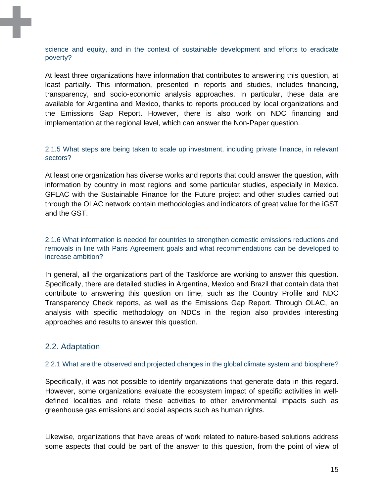science and equity, and in the context of sustainable development and efforts to eradicate poverty?

At least three organizations have information that contributes to answering this question, at least partially. This information, presented in reports and studies, includes financing, transparency, and socio-economic analysis approaches. In particular, these data are available for Argentina and Mexico, thanks to reports produced by local organizations and the Emissions Gap Report. However, there is also work on NDC financing and implementation at the regional level, which can answer the Non-Paper question.

2.1.5 What steps are being taken to scale up investment, including private finance, in relevant sectors?

At least one organization has diverse works and reports that could answer the question, with information by country in most regions and some particular studies, especially in Mexico. GFLAC with the Sustainable Finance for the Future project and other studies carried out through the OLAC network contain methodologies and indicators of great value for the iGST and the GST.

2.1.6 What information is needed for countries to strengthen domestic emissions reductions and removals in line with Paris Agreement goals and what recommendations can be developed to increase ambition?

In general, all the organizations part of the Taskforce are working to answer this question. Specifically, there are detailed studies in Argentina, Mexico and Brazil that contain data that contribute to answering this question on time, such as the Country Profile and NDC Transparency Check reports, as well as the Emissions Gap Report. Through OLAC, an analysis with specific methodology on NDCs in the region also provides interesting approaches and results to answer this question.

#### <span id="page-14-0"></span>2.2. Adaptation

#### 2.2.1 What are the observed and projected changes in the global climate system and biosphere?

Specifically, it was not possible to identify organizations that generate data in this regard. However, some organizations evaluate the ecosystem impact of specific activities in welldefined localities and relate these activities to other environmental impacts such as greenhouse gas emissions and social aspects such as human rights.

Likewise, organizations that have areas of work related to nature-based solutions address some aspects that could be part of the answer to this question, from the point of view of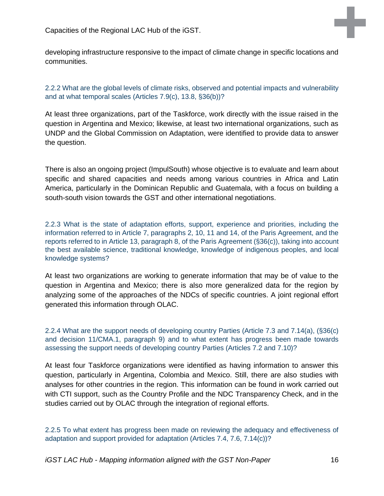developing infrastructure responsive to the impact of climate change in specific locations and communities.

2.2.2 What are the global levels of climate risks, observed and potential impacts and vulnerability and at what temporal scales (Articles 7.9(c), 13.8, §36(b))?

At least three organizations, part of the Taskforce, work directly with the issue raised in the question in Argentina and Mexico; likewise, at least two international organizations, such as UNDP and the Global Commission on Adaptation, were identified to provide data to answer the question.

There is also an ongoing project (ImpulSouth) whose objective is to evaluate and learn about specific and shared capacities and needs among various countries in Africa and Latin America, particularly in the Dominican Republic and Guatemala, with a focus on building a south-south vision towards the GST and other international negotiations.

2.2.3 What is the state of adaptation efforts, support, experience and priorities, including the information referred to in Article 7, paragraphs 2, 10, 11 and 14, of the Paris Agreement, and the reports referred to in Article 13, paragraph 8, of the Paris Agreement (§36(c)), taking into account the best available science, traditional knowledge, knowledge of indigenous peoples, and local knowledge systems?

At least two organizations are working to generate information that may be of value to the question in Argentina and Mexico; there is also more generalized data for the region by analyzing some of the approaches of the NDCs of specific countries. A joint regional effort generated this information through OLAC.

2.2.4 What are the support needs of developing country Parties (Article 7.3 and 7.14(a), (§36(c) and decision 11/CMA.1, paragraph 9) and to what extent has progress been made towards assessing the support needs of developing country Parties (Articles 7.2 and 7.10)?

At least four Taskforce organizations were identified as having information to answer this question, particularly in Argentina, Colombia and Mexico. Still, there are also studies with analyses for other countries in the region. This information can be found in work carried out with CTI support, such as the Country Profile and the NDC Transparency Check, and in the studies carried out by OLAC through the integration of regional efforts.

2.2.5 To what extent has progress been made on reviewing the adequacy and effectiveness of adaptation and support provided for adaptation (Articles 7.4, 7.6, 7.14(c))?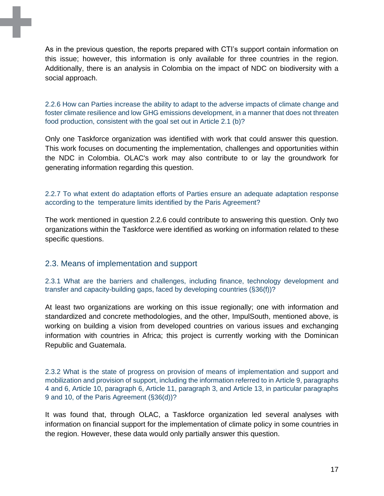As in the previous question, the reports prepared with CTI's support contain information on this issue; however, this information is only available for three countries in the region. Additionally, there is an analysis in Colombia on the impact of NDC on biodiversity with a social approach.

2.2.6 How can Parties increase the ability to adapt to the adverse impacts of climate change and foster climate resilience and low GHG emissions development, in a manner that does not threaten food production, consistent with the goal set out in Article 2.1 (b)?

Only one Taskforce organization was identified with work that could answer this question. This work focuses on documenting the implementation, challenges and opportunities within the NDC in Colombia. OLAC's work may also contribute to or lay the groundwork for generating information regarding this question.

#### 2.2.7 To what extent do adaptation efforts of Parties ensure an adequate adaptation response according to the temperature limits identified by the Paris Agreement?

The work mentioned in question 2.2.6 could contribute to answering this question. Only two organizations within the Taskforce were identified as working on information related to these specific questions.

#### <span id="page-16-0"></span>2.3. Means of implementation and support

2.3.1 What are the barriers and challenges, including finance, technology development and transfer and capacity-building gaps, faced by developing countries (§36(f))?

At least two organizations are working on this issue regionally; one with information and standardized and concrete methodologies, and the other, ImpulSouth, mentioned above, is working on building a vision from developed countries on various issues and exchanging information with countries in Africa; this project is currently working with the Dominican Republic and Guatemala.

2.3.2 What is the state of progress on provision of means of implementation and support and mobilization and provision of support, including the information referred to in Article 9, paragraphs 4 and 6, Article 10, paragraph 6, Article 11, paragraph 3, and Article 13, in particular paragraphs 9 and 10, of the Paris Agreement (§36(d))?

It was found that, through OLAC, a Taskforce organization led several analyses with information on financial support for the implementation of climate policy in some countries in the region. However, these data would only partially answer this question.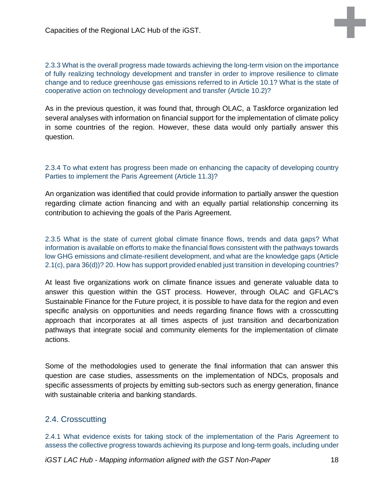2.3.3 What is the overall progress made towards achieving the long-term vision on the importance of fully realizing technology development and transfer in order to improve resilience to climate change and to reduce greenhouse gas emissions referred to in Article 10.1? What is the state of cooperative action on technology development and transfer (Article 10.2)?

As in the previous question, it was found that, through OLAC, a Taskforce organization led several analyses with information on financial support for the implementation of climate policy in some countries of the region. However, these data would only partially answer this question.

#### 2.3.4 To what extent has progress been made on enhancing the capacity of developing country Parties to implement the Paris Agreement (Article 11.3)?

An organization was identified that could provide information to partially answer the question regarding climate action financing and with an equally partial relationship concerning its contribution to achieving the goals of the Paris Agreement.

2.3.5 What is the state of current global climate finance flows, trends and data gaps? What information is available on efforts to make the financial flows consistent with the pathways towards low GHG emissions and climate-resilient development, and what are the knowledge gaps (Article 2.1(c), para 36(d))? 20. How has support provided enabled just transition in developing countries?

At least five organizations work on climate finance issues and generate valuable data to answer this question within the GST process. However, through OLAC and GFLAC's Sustainable Finance for the Future project, it is possible to have data for the region and even specific analysis on opportunities and needs regarding finance flows with a crosscutting approach that incorporates at all times aspects of just transition and decarbonization pathways that integrate social and community elements for the implementation of climate actions.

Some of the methodologies used to generate the final information that can answer this question are case studies, assessments on the implementation of NDCs, proposals and specific assessments of projects by emitting sub-sectors such as energy generation, finance with sustainable criteria and banking standards.

#### <span id="page-17-0"></span>2.4. Crosscutting

2.4.1 What evidence exists for taking stock of the implementation of the Paris Agreement to assess the collective progress towards achieving its purpose and long-term goals, including under

*iGST LAC Hub - Mapping information aligned with the GST Non-Paper* 18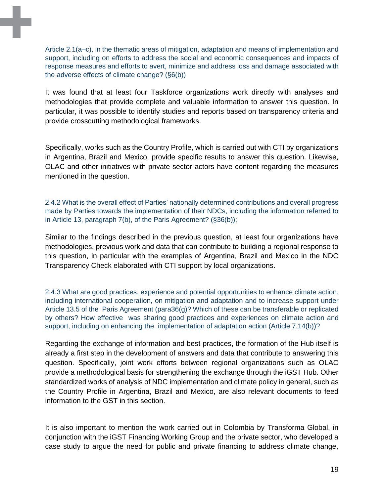Article 2.1(a–c), in the thematic areas of mitigation, adaptation and means of implementation and support, including on efforts to address the social and economic consequences and impacts of response measures and efforts to avert, minimize and address loss and damage associated with the adverse effects of climate change? (§6(b))

It was found that at least four Taskforce organizations work directly with analyses and methodologies that provide complete and valuable information to answer this question. In particular, it was possible to identify studies and reports based on transparency criteria and provide crosscutting methodological frameworks.

Specifically, works such as the Country Profile, which is carried out with CTI by organizations in Argentina, Brazil and Mexico, provide specific results to answer this question. Likewise, OLAC and other initiatives with private sector actors have content regarding the measures mentioned in the question.

2.4.2 What is the overall effect of Parties' nationally determined contributions and overall progress made by Parties towards the implementation of their NDCs, including the information referred to in Article 13, paragraph 7(b), of the Paris Agreement? (§36(b));

Similar to the findings described in the previous question, at least four organizations have methodologies, previous work and data that can contribute to building a regional response to this question, in particular with the examples of Argentina, Brazil and Mexico in the NDC Transparency Check elaborated with CTI support by local organizations.

2.4.3 What are good practices, experience and potential opportunities to enhance climate action, including international cooperation, on mitigation and adaptation and to increase support under Article 13.5 of the Paris Agreement (para36(g)? Which of these can be transferable or replicated by others? How effective was sharing good practices and experiences on climate action and support, including on enhancing the implementation of adaptation action (Article 7.14(b))?

Regarding the exchange of information and best practices, the formation of the Hub itself is already a first step in the development of answers and data that contribute to answering this question. Specifically, joint work efforts between regional organizations such as OLAC provide a methodological basis for strengthening the exchange through the iGST Hub. Other standardized works of analysis of NDC implementation and climate policy in general, such as the Country Profile in Argentina, Brazil and Mexico, are also relevant documents to feed information to the GST in this section.

It is also important to mention the work carried out in Colombia by Transforma Global, in conjunction with the iGST Financing Working Group and the private sector, who developed a case study to argue the need for public and private financing to address climate change,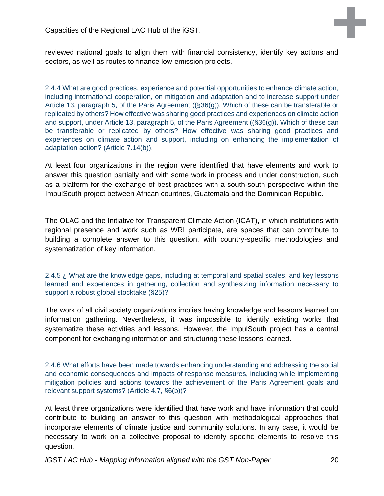reviewed national goals to align them with financial consistency, identify key actions and sectors, as well as routes to finance low-emission projects.

2.4.4 What are good practices, experience and potential opportunities to enhance climate action, including international cooperation, on mitigation and adaptation and to increase support under Article 13, paragraph 5, of the Paris Agreement ((§36(g)). Which of these can be transferable or replicated by others? How effective was sharing good practices and experiences on climate action and support, under Article 13, paragraph 5, of the Paris Agreement ((§36(g)). Which of these can be transferable or replicated by others? How effective was sharing good practices and experiences on climate action and support, including on enhancing the implementation of adaptation action? (Article 7.14(b)).

At least four organizations in the region were identified that have elements and work to answer this question partially and with some work in process and under construction, such as a platform for the exchange of best practices with a south-south perspective within the ImpulSouth project between African countries, Guatemala and the Dominican Republic.

The OLAC and the Initiative for Transparent Climate Action (ICAT), in which institutions with regional presence and work such as WRI participate, are spaces that can contribute to building a complete answer to this question, with country-specific methodologies and systematization of key information.

2.4.5 ¿ What are the knowledge gaps, including at temporal and spatial scales, and key lessons learned and experiences in gathering, collection and synthesizing information necessary to support a robust global stocktake (§25)?

The work of all civil society organizations implies having knowledge and lessons learned on information gathering. Nevertheless, it was impossible to identify existing works that systematize these activities and lessons. However, the ImpulSouth project has a central component for exchanging information and structuring these lessons learned.

2.4.6 What efforts have been made towards enhancing understanding and addressing the social and economic consequences and impacts of response measures, including while implementing mitigation policies and actions towards the achievement of the Paris Agreement goals and relevant support systems? (Article 4.7, §6(b))?

At least three organizations were identified that have work and have information that could contribute to building an answer to this question with methodological approaches that incorporate elements of climate justice and community solutions. In any case, it would be necessary to work on a collective proposal to identify specific elements to resolve this question.

*iGST LAC Hub - Mapping information aligned with the GST Non-Paper* 20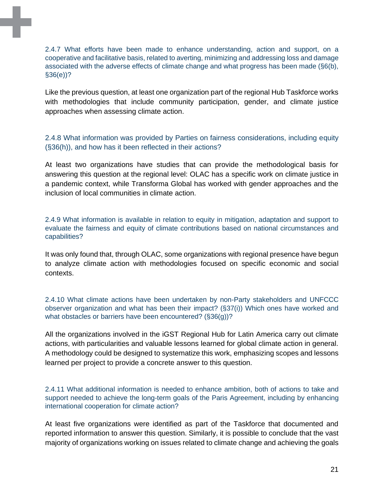2.4.7 What efforts have been made to enhance understanding, action and support, on a cooperative and facilitative basis, related to averting, minimizing and addressing loss and damage associated with the adverse effects of climate change and what progress has been made (§6(b), §36(e))?

Like the previous question, at least one organization part of the regional Hub Taskforce works with methodologies that include community participation, gender, and climate justice approaches when assessing climate action.

2.4.8 What information was provided by Parties on fairness considerations, including equity (§36(h)), and how has it been reflected in their actions?

At least two organizations have studies that can provide the methodological basis for answering this question at the regional level: OLAC has a specific work on climate justice in a pandemic context, while Transforma Global has worked with gender approaches and the inclusion of local communities in climate action.

2.4.9 What information is available in relation to equity in mitigation, adaptation and support to evaluate the fairness and equity of climate contributions based on national circumstances and capabilities?

It was only found that, through OLAC, some organizations with regional presence have begun to analyze climate action with methodologies focused on specific economic and social contexts.

2.4.10 What climate actions have been undertaken by non-Party stakeholders and UNFCCC observer organization and what has been their impact? (§37(i)) Which ones have worked and what obstacles or barriers have been encountered? (§36(g))?

All the organizations involved in the iGST Regional Hub for Latin America carry out climate actions, with particularities and valuable lessons learned for global climate action in general. A methodology could be designed to systematize this work, emphasizing scopes and lessons learned per project to provide a concrete answer to this question.

2.4.11 What additional information is needed to enhance ambition, both of actions to take and support needed to achieve the long-term goals of the Paris Agreement, including by enhancing international cooperation for climate action?

At least five organizations were identified as part of the Taskforce that documented and reported information to answer this question. Similarly, it is possible to conclude that the vast majority of organizations working on issues related to climate change and achieving the goals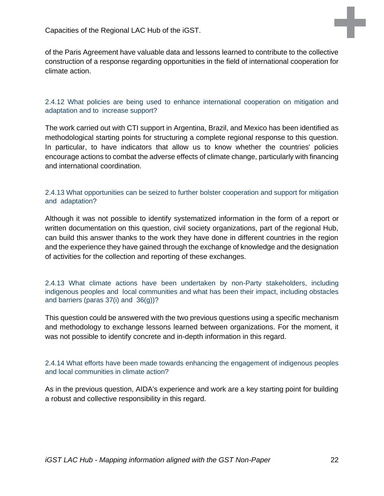of the Paris Agreement have valuable data and lessons learned to contribute to the collective construction of a response regarding opportunities in the field of international cooperation for climate action.

#### 2.4.12 What policies are being used to enhance international cooperation on mitigation and adaptation and to increase support?

The work carried out with CTI support in Argentina, Brazil, and Mexico has been identified as methodological starting points for structuring a complete regional response to this question. In particular, to have indicators that allow us to know whether the countries' policies encourage actions to combat the adverse effects of climate change, particularly with financing and international coordination.

#### 2.4.13 What opportunities can be seized to further bolster cooperation and support for mitigation and adaptation?

Although it was not possible to identify systematized information in the form of a report or written documentation on this question, civil society organizations, part of the regional Hub, can build this answer thanks to the work they have done in different countries in the region and the experience they have gained through the exchange of knowledge and the designation of activities for the collection and reporting of these exchanges.

2.4.13 What climate actions have been undertaken by non-Party stakeholders, including indigenous peoples and local communities and what has been their impact, including obstacles and barriers (paras 37(i) and 36(g))?

This question could be answered with the two previous questions using a specific mechanism and methodology to exchange lessons learned between organizations. For the moment, it was not possible to identify concrete and in-depth information in this regard.

#### 2.4.14 What efforts have been made towards enhancing the engagement of indigenous peoples and local communities in climate action?

As in the previous question, AIDA's experience and work are a key starting point for building a robust and collective responsibility in this regard.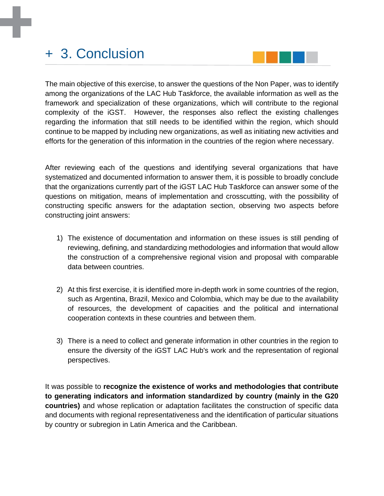## <span id="page-22-0"></span>+ 3. Conclusion



The main objective of this exercise, to answer the questions of the Non Paper, was to identify among the organizations of the LAC Hub Taskforce, the available information as well as the framework and specialization of these organizations, which will contribute to the regional complexity of the iGST. However, the responses also reflect the existing challenges regarding the information that still needs to be identified within the region, which should continue to be mapped by including new organizations, as well as initiating new activities and efforts for the generation of this information in the countries of the region where necessary.

After reviewing each of the questions and identifying several organizations that have systematized and documented information to answer them, it is possible to broadly conclude that the organizations currently part of the iGST LAC Hub Taskforce can answer some of the questions on mitigation, means of implementation and crosscutting, with the possibility of constructing specific answers for the adaptation section, observing two aspects before constructing joint answers:

- 1) The existence of documentation and information on these issues is still pending of reviewing, defining, and standardizing methodologies and information that would allow the construction of a comprehensive regional vision and proposal with comparable data between countries.
- 2) At this first exercise, it is identified more in-depth work in some countries of the region, such as Argentina, Brazil, Mexico and Colombia, which may be due to the availability of resources, the development of capacities and the political and international cooperation contexts in these countries and between them.
- 3) There is a need to collect and generate information in other countries in the region to ensure the diversity of the iGST LAC Hub's work and the representation of regional perspectives.

It was possible to **recognize the existence of works and methodologies that contribute to generating indicators and information standardized by country (mainly in the G20 countries)** and whose replication or adaptation facilitates the construction of specific data and documents with regional representativeness and the identification of particular situations by country or subregion in Latin America and the Caribbean.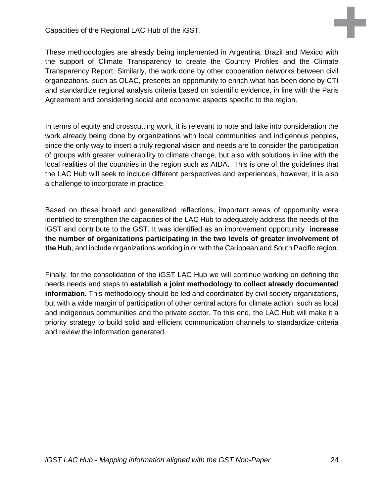These methodologies are already being implemented in Argentina, Brazil and Mexico with the support of Climate Transparency to create the Country Profiles and the Climate Transparency Report. Similarly, the work done by other cooperation networks between civil organizations, such as OLAC, presents an opportunity to enrich what has been done by CTI and standardize regional analysis criteria based on scientific evidence, in line with the Paris Agreement and considering social and economic aspects specific to the region.

In terms of equity and crosscutting work, it is relevant to note and take into consideration the work already being done by organizations with local communities and indigenous peoples, since the only way to insert a truly regional vision and needs are to consider the participation of groups with greater vulnerability to climate change, but also with solutions in line with the local realities of the countries in the region such as AIDA. This is one of the guidelines that the LAC Hub will seek to include different perspectives and experiences, however, it is also a challenge to incorporate in practice.

Based on these broad and generalized reflections, important areas of opportunity were identified to strengthen the capacities of the LAC Hub to adequately address the needs of the iGST and contribute to the GST. It was identified as an improvement opportunity **increase the number of organizations participating in the two levels of greater involvement of the Hub**, and include organizations working in or with the Caribbean and South Pacific region.

Finally, for the consolidation of the iGST LAC Hub we will continue working on defining the needs needs and steps to **establish a joint methodology to collect already documented information.** This methodology should be led and coordinated by civil society organizations, but with a wide margin of participation of other central actors for climate action, such as local and indigenous communities and the private sector. To this end, the LAC Hub will make it a priority strategy to build solid and efficient communication channels to standardize criteria and review the information generated.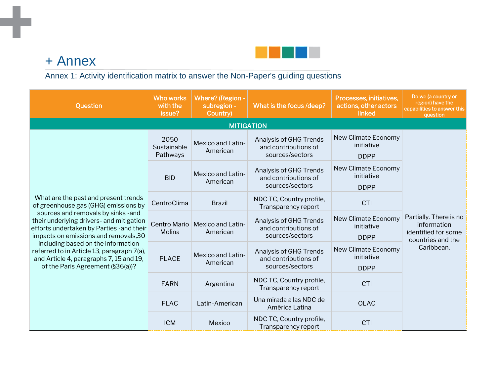

## + Annex

m,

## Annex 1: Activity identification matrix to answer the Non-Paper's guiding questions

<span id="page-24-1"></span><span id="page-24-0"></span>

| <b>Question</b>                                                                                                                                                      | <b>Who works</b><br>with the<br>issue? | <b>Where?</b> (Region -<br>subregion -<br>Country) | What is the focus /deep?                                          | Processes, initiatives,<br>actions, other actors<br>linked | Do we (a country or<br>region) have the<br>capabilities to answer this<br>question |
|----------------------------------------------------------------------------------------------------------------------------------------------------------------------|----------------------------------------|----------------------------------------------------|-------------------------------------------------------------------|------------------------------------------------------------|------------------------------------------------------------------------------------|
|                                                                                                                                                                      |                                        | <b>MITIGATION</b>                                  |                                                                   |                                                            |                                                                                    |
| What are the past and present trends<br>of greenhouse gas (GHG) emissions by                                                                                         | 2050<br>Sustainable<br>Pathways        | <b>Mexico and Latin-</b><br>American               | Analysis of GHG Trends<br>and contributions of<br>sources/sectors | New Climate Economy<br>initiative<br><b>DDPP</b>           |                                                                                    |
|                                                                                                                                                                      | <b>BID</b>                             | <b>Mexico and Latin-</b><br>American               | Analysis of GHG Trends<br>and contributions of<br>sources/sectors | New Climate Economy<br>initiative<br><b>DDPP</b>           |                                                                                    |
|                                                                                                                                                                      | CentroClima                            | <b>Brazil</b>                                      | NDC TC, Country profile,<br>Transparency report                   | CTI                                                        |                                                                                    |
| sources and removals by sinks -and<br>their underlying drivers- and mitigation<br>efforts undertaken by Parties - and their<br>impacts on emissions and removals, 30 | Centro Mario<br>Molina                 | Mexico and Latin-<br>American                      | Analysis of GHG Trends<br>and contributions of<br>sources/sectors | New Climate Economy<br>initiative<br><b>DDPP</b>           | Partially. There is no<br>information<br>identified for some<br>countries and the  |
| including based on the information<br>referred to in Article 13, paragraph 7(a),<br>and Article 4, paragraphs 7, 15 and 19,<br>of the Paris Agreement (§36(a))?      | <b>PLACE</b>                           | Mexico and Latin-<br>American                      | Analysis of GHG Trends<br>and contributions of<br>sources/sectors | New Climate Economy<br>initiative<br><b>DDPP</b>           | Caribbean.                                                                         |
|                                                                                                                                                                      | <b>FARN</b>                            | Argentina                                          | NDC TC, Country profile,<br>Transparency report                   | <b>CTI</b>                                                 |                                                                                    |
|                                                                                                                                                                      | <b>FLAC</b>                            | Latin-American                                     | Una mirada a las NDC de<br>América Latina                         | <b>OLAC</b>                                                |                                                                                    |
|                                                                                                                                                                      | <b>ICM</b>                             | Mexico                                             | NDC TC, Country profile,<br>Transparency report                   | <b>CTI</b>                                                 |                                                                                    |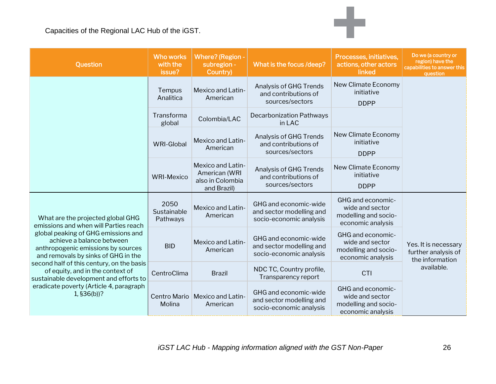| Question                                                                                                                                                                                                                                                                                                                                                                                                         | <b>Who works</b><br>with the<br>issue? | <b>Where?</b> (Region -<br>subregion -<br>Country)                    | What is the focus /deep?                                                     | Processes, initiatives,<br>actions, other actors<br>linked                        | Do we (a country or<br>region) have the<br>capabilities to answer this<br>question |
|------------------------------------------------------------------------------------------------------------------------------------------------------------------------------------------------------------------------------------------------------------------------------------------------------------------------------------------------------------------------------------------------------------------|----------------------------------------|-----------------------------------------------------------------------|------------------------------------------------------------------------------|-----------------------------------------------------------------------------------|------------------------------------------------------------------------------------|
|                                                                                                                                                                                                                                                                                                                                                                                                                  | Tempus<br>Analitica                    | Mexico and Latin-<br>American                                         | Analysis of GHG Trends<br>and contributions of<br>sources/sectors            | <b>New Climate Economy</b><br>initiative<br><b>DDPP</b>                           |                                                                                    |
|                                                                                                                                                                                                                                                                                                                                                                                                                  | Transforma<br>global                   | Colombia/LAC                                                          | <b>Decarbonization Pathways</b><br>in LAC                                    |                                                                                   |                                                                                    |
|                                                                                                                                                                                                                                                                                                                                                                                                                  | <b>WRI-Global</b>                      | Mexico and Latin-<br>American                                         | Analysis of GHG Trends<br>and contributions of<br>sources/sectors            | New Climate Economy<br>initiative<br><b>DDPP</b>                                  |                                                                                    |
|                                                                                                                                                                                                                                                                                                                                                                                                                  | <b>WRI-Mexico</b>                      | Mexico and Latin-<br>American (WRI<br>also in Colombia<br>and Brazil) | Analysis of GHG Trends<br>and contributions of<br>sources/sectors            | <b>New Climate Economy</b><br>initiative<br><b>DDPP</b>                           |                                                                                    |
| What are the projected global GHG<br>emissions and when will Parties reach<br>global peaking of GHG emissions and<br>achieve a balance between<br>anthropogenic emissions by sources<br>and removals by sinks of GHG in the<br>second half of this century, on the basis<br>of equity, and in the context of<br>sustainable development and efforts to<br>eradicate poverty (Article 4, paragraph<br>1, §36(b))? | 2050<br>Sustainable<br>Pathways        | Mexico and Latin-<br>American                                         | GHG and economic-wide<br>and sector modelling and<br>socio-economic analysis | GHG and economic-<br>wide and sector<br>modelling and socio-<br>economic analysis |                                                                                    |
|                                                                                                                                                                                                                                                                                                                                                                                                                  | <b>BID</b>                             | Mexico and Latin-<br>American                                         | GHG and economic-wide<br>and sector modelling and<br>socio-economic analysis | GHG and economic-<br>wide and sector<br>modelling and socio-<br>economic analysis | Yes. It is necessary<br>further analysis of<br>the information                     |
|                                                                                                                                                                                                                                                                                                                                                                                                                  | CentroClima                            | <b>Brazil</b>                                                         | NDC TC, Country profile,<br>Transparency report                              | CTI                                                                               | available.                                                                         |
|                                                                                                                                                                                                                                                                                                                                                                                                                  | Centro Mario<br>Molina                 | <b>Mexico and Latin-</b><br>American                                  | GHG and economic-wide<br>and sector modelling and<br>socio-economic analysis | GHG and economic-<br>wide and sector<br>modelling and socio-<br>economic analysis |                                                                                    |

÷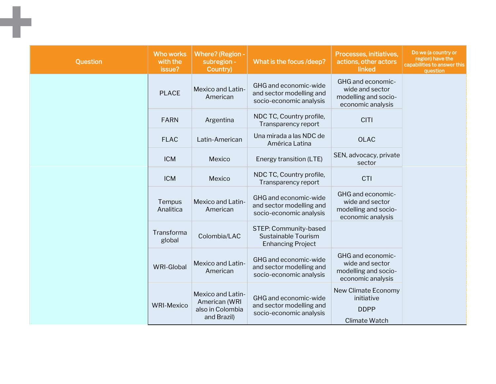| Question | <b>Who works</b><br>with the<br>issue? | <b>Where?</b> (Region -<br>subregion -<br>Country)                    | What is the focus /deep?                                                     | Processes, initiatives,<br>actions, other actors<br>linked                        | Do we (a country or<br>region) have the<br>capabilities to answer this<br>question |
|----------|----------------------------------------|-----------------------------------------------------------------------|------------------------------------------------------------------------------|-----------------------------------------------------------------------------------|------------------------------------------------------------------------------------|
|          | <b>PLACE</b>                           | Mexico and Latin-<br>American                                         | GHG and economic-wide<br>and sector modelling and<br>socio-economic analysis | GHG and economic-<br>wide and sector<br>modelling and socio-<br>economic analysis |                                                                                    |
|          | <b>FARN</b>                            | Argentina                                                             | NDC TC, Country profile,<br>Transparency report                              | <b>CITI</b>                                                                       |                                                                                    |
|          | <b>FLAC</b>                            | Latin-American                                                        | Una mirada a las NDC de<br>América Latina                                    | <b>OLAC</b>                                                                       |                                                                                    |
|          | <b>ICM</b>                             | Mexico                                                                | Energy transition (LTE)                                                      | SEN, advocacy, private<br>sector                                                  |                                                                                    |
|          | <b>ICM</b>                             | Mexico                                                                | NDC TC, Country profile,<br>Transparency report                              | <b>CTI</b>                                                                        |                                                                                    |
|          | Tempus<br>Analitica                    | Mexico and Latin-<br>American                                         | GHG and economic-wide<br>and sector modelling and<br>socio-economic analysis | GHG and economic-<br>wide and sector<br>modelling and socio-<br>economic analysis |                                                                                    |
|          | Transforma<br>global                   | Colombia/LAC                                                          | STEP: Community-based<br>Sustainable Tourism<br><b>Enhancing Project</b>     |                                                                                   |                                                                                    |
|          | <b>WRI-Global</b>                      | Mexico and Latin-<br>American                                         | GHG and economic-wide<br>and sector modelling and<br>socio-economic analysis | GHG and economic-<br>wide and sector<br>modelling and socio-<br>economic analysis |                                                                                    |
|          | <b>WRI-Mexico</b>                      | Mexico and Latin-<br>American (WRI<br>also in Colombia<br>and Brazil) | GHG and economic-wide<br>and sector modelling and<br>socio-economic analysis | New Climate Economy<br>initiative<br><b>DDPP</b><br><b>Climate Watch</b>          |                                                                                    |

٠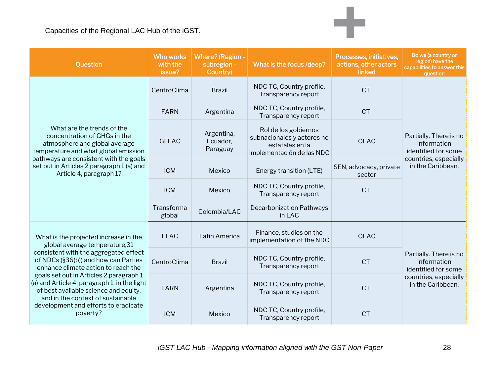| Question                                                                                                                                                                                                                                                                                                                                                                                                                     | <b>Who works</b><br>with the<br>issue? | <b>Where?</b> (Region -<br>subregion -<br>Country) | What is the focus /deep?                                                                           | Processes, initiatives,<br>actions, other actors<br>linked | Do we (a country or<br>region) have the<br>capabilities to answer this<br>question                         |
|------------------------------------------------------------------------------------------------------------------------------------------------------------------------------------------------------------------------------------------------------------------------------------------------------------------------------------------------------------------------------------------------------------------------------|----------------------------------------|----------------------------------------------------|----------------------------------------------------------------------------------------------------|------------------------------------------------------------|------------------------------------------------------------------------------------------------------------|
|                                                                                                                                                                                                                                                                                                                                                                                                                              | CentroClima                            | <b>Brazil</b>                                      | NDC TC, Country profile,<br>Transparency report                                                    | <b>CTI</b>                                                 |                                                                                                            |
|                                                                                                                                                                                                                                                                                                                                                                                                                              | <b>FARN</b>                            | Argentina                                          | NDC TC, Country profile,<br>Transparency report                                                    | <b>CTI</b>                                                 |                                                                                                            |
| What are the trends of the<br>concentration of GHGs in the<br>atmosphere and global average<br>temperature and what global emission<br>pathways are consistent with the goals<br>set out in Articles 2 paragraph 1 (a) and<br>Article 4, paragraph 1?                                                                                                                                                                        | <b>GFLAC</b>                           | Argentina,<br>Ecuador,<br>Paraguay                 | Rol de los gobiernos<br>subnacionales y actores no<br>estatales en la<br>implementación de las NDC | <b>OLAC</b>                                                | Partially. There is no<br>information<br>identified for some                                               |
|                                                                                                                                                                                                                                                                                                                                                                                                                              | <b>ICM</b>                             | Mexico                                             | Energy transition (LTE)                                                                            | SEN, advocacy, private<br>sector                           | countries, especially<br>in the Caribbean.                                                                 |
|                                                                                                                                                                                                                                                                                                                                                                                                                              | <b>ICM</b>                             | Mexico                                             | NDC TC, Country profile,<br>Transparency report                                                    | <b>CTI</b>                                                 |                                                                                                            |
|                                                                                                                                                                                                                                                                                                                                                                                                                              | Transforma<br>global                   | Colombia/LAC                                       | <b>Decarbonization Pathways</b><br>in LAC                                                          |                                                            |                                                                                                            |
| What is the projected increase in the<br>global average temperature, 31<br>consistent with the aggregated effect<br>of NDCs (§36(b)) and how can Parties<br>enhance climate action to reach the<br>goals set out in Articles 2 paragraph 1<br>(a) and Article 4, paragraph 1, in the light<br>of best available science and equity,<br>and in the context of sustainable<br>development and efforts to eradicate<br>poverty? | <b>FLAC</b>                            | Latin America                                      | Finance, studies on the<br>implementation of the NDC                                               | <b>OLAC</b>                                                |                                                                                                            |
|                                                                                                                                                                                                                                                                                                                                                                                                                              | CentroClima                            | <b>Brazil</b>                                      | NDC TC, Country profile,<br>Transparency report                                                    | CTI                                                        | Partially. There is no<br>information<br>identified for some<br>countries, especially<br>in the Caribbean. |
|                                                                                                                                                                                                                                                                                                                                                                                                                              | <b>FARN</b>                            | Argentina                                          | NDC TC, Country profile,<br>Transparency report                                                    | CTI                                                        |                                                                                                            |
|                                                                                                                                                                                                                                                                                                                                                                                                                              | <b>ICM</b>                             | Mexico                                             | NDC TC, Country profile,<br>Transparency report                                                    | <b>CTI</b>                                                 |                                                                                                            |

÷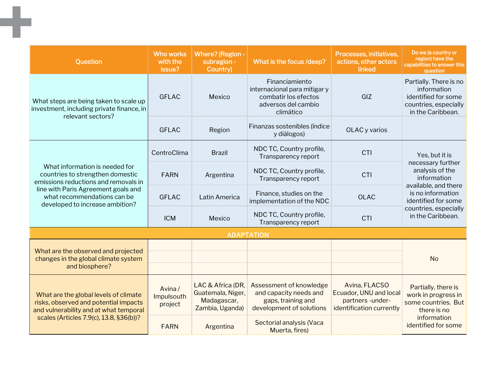| Question                                                                                                                                                                                                            | <b>Who works</b><br>with the<br>issue? | Where? (Region -<br>subregion -<br>Country)                              | What is the focus /deep?                                                                                   | Processes, initiatives,<br>actions, other actors<br>linked                             | Do we (a country or<br>region) have the<br>capabilities to answer this<br>question                                                                                    |
|---------------------------------------------------------------------------------------------------------------------------------------------------------------------------------------------------------------------|----------------------------------------|--------------------------------------------------------------------------|------------------------------------------------------------------------------------------------------------|----------------------------------------------------------------------------------------|-----------------------------------------------------------------------------------------------------------------------------------------------------------------------|
| What steps are being taken to scale up<br>investment, including private finance, in                                                                                                                                 | <b>GFLAC</b>                           | Mexico                                                                   | Financiamiento<br>internacional para mitigar y<br>combatir los efectos<br>adversos del cambio<br>climático | GIZ                                                                                    | Partially. There is no<br>information<br>identified for some<br>countries, especially<br>in the Caribbean.                                                            |
| relevant sectors?                                                                                                                                                                                                   | <b>GFLAC</b>                           | Region                                                                   | Finanzas sostenibles (índice<br>y diálogos)                                                                | OLAC y varios                                                                          |                                                                                                                                                                       |
|                                                                                                                                                                                                                     | CentroClima                            | <b>Brazil</b>                                                            | NDC TC, Country profile,<br>Transparency report                                                            | CTI                                                                                    | Yes, but it is                                                                                                                                                        |
| What information is needed for<br>countries to strengthen domestic<br>emissions reductions and removals in<br>line with Paris Agreement goals and<br>what recommendations can be<br>developed to increase ambition? | <b>FARN</b>                            | Argentina                                                                | NDC TC, Country profile,<br>Transparency report                                                            | CTI                                                                                    | necessary further<br>analysis of the<br>information<br>available, and there<br>is no information<br>identified for some<br>countries, especially<br>in the Caribbean. |
|                                                                                                                                                                                                                     | <b>GFLAC</b>                           | Latin America                                                            | Finance, studies on the<br>implementation of the NDC                                                       | <b>OLAC</b>                                                                            |                                                                                                                                                                       |
|                                                                                                                                                                                                                     | <b>ICM</b>                             | Mexico                                                                   | NDC TC, Country profile,<br>Transparency report                                                            | CTI                                                                                    |                                                                                                                                                                       |
|                                                                                                                                                                                                                     |                                        |                                                                          | <b>ADAPTATION</b>                                                                                          |                                                                                        |                                                                                                                                                                       |
| What are the observed and projected<br>changes in the global climate system<br>and biosphere?                                                                                                                       |                                        |                                                                          |                                                                                                            |                                                                                        | <b>No</b>                                                                                                                                                             |
| What are the global levels of climate<br>risks, observed and potential impacts<br>and vulnerability and at what temporal                                                                                            | Avina/<br>Impulsouth<br>project        | LAC & Africa (DR,<br>Guatemala, Niger,<br>Madagascar,<br>Zambia, Uganda) | Assessment of knowledge<br>and capacity needs and<br>gaps, training and<br>development of solutions        | Avina, FLACSO<br>Ecuador, UNU and local<br>partners-under-<br>identification currently | Partially, there is<br>work in progress in<br>some countries. But<br>there is no                                                                                      |
| scales (Articles 7.9(c), 13.8, §36(b))?                                                                                                                                                                             | <b>FARN</b>                            | Argentina                                                                | Sectorial analysis (Vaca<br>Muerta, fires)                                                                 |                                                                                        | information<br>identified for some                                                                                                                                    |

m,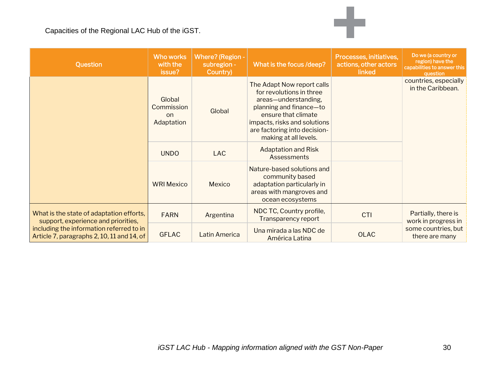| Question                                                                                                                                                                  | <b>Who works</b><br>with the<br>issue?    | Where? (Region -<br>subregion -<br>Country) | What is the focus /deep?                                                                                                                                                                                                  | Processes, initiatives,<br>actions, other actors<br>linked | Do we (a country or<br>region) have the<br>capabilities to answer this<br>question |
|---------------------------------------------------------------------------------------------------------------------------------------------------------------------------|-------------------------------------------|---------------------------------------------|---------------------------------------------------------------------------------------------------------------------------------------------------------------------------------------------------------------------------|------------------------------------------------------------|------------------------------------------------------------------------------------|
|                                                                                                                                                                           | Global<br>Commission<br>on.<br>Adaptation | Global                                      | The Adapt Now report calls<br>for revolutions in three<br>areas-understanding,<br>planning and finance-to<br>ensure that climate<br>impacts, risks and solutions<br>are factoring into decision-<br>making at all levels. |                                                            | countries, especially<br>in the Caribbean.                                         |
|                                                                                                                                                                           | <b>UNDO</b>                               | <b>LAC</b>                                  | <b>Adaptation and Risk</b><br>Assessments                                                                                                                                                                                 |                                                            |                                                                                    |
|                                                                                                                                                                           | <b>WRI Mexico</b>                         | Mexico                                      | Nature-based solutions and<br>community based<br>adaptation particularly in<br>areas with mangroves and<br>ocean ecosystems                                                                                               |                                                            |                                                                                    |
| What is the state of adaptation efforts,<br>support, experience and priorities,<br>including the information referred to in<br>Article 7, paragraphs 2, 10, 11 and 14, of | <b>FARN</b>                               | Argentina                                   | NDC TC, Country profile,<br>Transparency report                                                                                                                                                                           | <b>CTI</b>                                                 | Partially, there is<br>work in progress in                                         |
|                                                                                                                                                                           | <b>GFLAC</b>                              | Latin America                               | Una mirada a las NDC de<br>América Latina                                                                                                                                                                                 | <b>OLAC</b>                                                | some countries, but<br>there are many                                              |

÷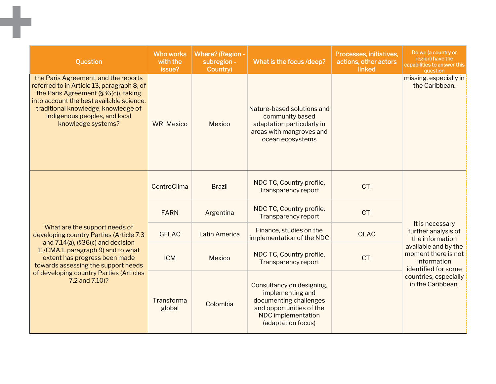| Question                                                                                                                                                                                                                                                             | <b>Who works</b><br>with the<br>issue? | Where? (Region -<br>subregion -<br>Country) | What is the focus /deep?                                                                                                                        | Processes, initiatives,<br>actions, other actors<br>linked | Do we (a country or<br>region) have the<br>capabilities to answer this<br>question |
|----------------------------------------------------------------------------------------------------------------------------------------------------------------------------------------------------------------------------------------------------------------------|----------------------------------------|---------------------------------------------|-------------------------------------------------------------------------------------------------------------------------------------------------|------------------------------------------------------------|------------------------------------------------------------------------------------|
| the Paris Agreement, and the reports<br>referred to in Article 13, paragraph 8, of<br>the Paris Agreement (§36(c)), taking<br>into account the best available science,<br>traditional knowledge, knowledge of<br>indigenous peoples, and local<br>knowledge systems? | <b>WRI Mexico</b>                      | Mexico                                      | Nature-based solutions and<br>community based<br>adaptation particularly in<br>areas with mangroves and<br>ocean ecosystems                     |                                                            | missing, especially in<br>the Caribbean.                                           |
|                                                                                                                                                                                                                                                                      | CentroClima                            | <b>Brazil</b>                               | NDC TC, Country profile,<br>Transparency report                                                                                                 | CTI                                                        |                                                                                    |
|                                                                                                                                                                                                                                                                      | <b>FARN</b>                            | Argentina                                   | NDC TC, Country profile,<br><b>Transparency report</b>                                                                                          | CTI                                                        |                                                                                    |
| What are the support needs of<br>developing country Parties (Article 7.3<br>and 7.14(a), (§36(c) and decision                                                                                                                                                        | <b>GFLAC</b>                           | <b>Latin America</b>                        | Finance, studies on the<br>implementation of the NDC                                                                                            | <b>OLAC</b>                                                | It is necessary<br>further analysis of<br>the information                          |
| 11/CMA.1, paragraph 9) and to what<br>extent has progress been made<br>towards assessing the support needs<br>of developing country Parties (Articles<br>7.2 and 7.10)?                                                                                              | <b>ICM</b>                             | Mexico                                      | NDC TC, Country profile,<br><b>Transparency report</b>                                                                                          | CTI                                                        | available and by the<br>moment there is not<br>information<br>identified for some  |
|                                                                                                                                                                                                                                                                      | Transforma<br>global                   | Colombia                                    | Consultancy on designing,<br>implementing and<br>documenting challenges<br>and opportunities of the<br>NDC implementation<br>(adaptation focus) |                                                            | countries, especially<br>in the Caribbean.                                         |

٠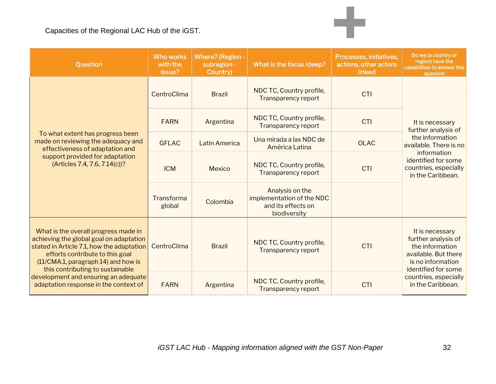| Question                                                                                                                                                                                                                                                                                                                    | <b>Who works</b><br>with the<br>issue? | <b>Where? (Region -</b><br>subregion -<br>Country) | What is the focus /deep?                                                           | Processes, initiatives,<br>actions, other actors<br>linked | Do we (a country or<br>region) have the<br>capabilities to answer this<br>question                                            |
|-----------------------------------------------------------------------------------------------------------------------------------------------------------------------------------------------------------------------------------------------------------------------------------------------------------------------------|----------------------------------------|----------------------------------------------------|------------------------------------------------------------------------------------|------------------------------------------------------------|-------------------------------------------------------------------------------------------------------------------------------|
|                                                                                                                                                                                                                                                                                                                             | CentroClima                            | <b>Brazil</b>                                      | NDC TC, Country profile,<br><b>Transparency report</b>                             | <b>CTI</b>                                                 |                                                                                                                               |
|                                                                                                                                                                                                                                                                                                                             | <b>FARN</b>                            | Argentina                                          | NDC TC, Country profile,<br><b>Transparency report</b>                             | <b>CTI</b>                                                 | It is necessary<br>further analysis of                                                                                        |
| To what extent has progress been<br>made on reviewing the adequacy and<br>effectiveness of adaptation and<br>support provided for adaptation<br>(Articles 7.4, 7.6, 7.14(c))?                                                                                                                                               | <b>GFLAC</b>                           | <b>Latin America</b>                               | Una mirada a las NDC de<br>América Latina                                          | <b>OLAC</b>                                                | the information<br>available. There is no<br>information<br>identified for some<br>countries, especially<br>in the Caribbean. |
|                                                                                                                                                                                                                                                                                                                             | <b>ICM</b>                             | Mexico                                             | NDC TC, Country profile,<br><b>Transparency report</b>                             | CTI                                                        |                                                                                                                               |
|                                                                                                                                                                                                                                                                                                                             | Transforma<br>global                   | Colombia                                           | Analysis on the<br>implementation of the NDC<br>and its effects on<br>biodiversity |                                                            |                                                                                                                               |
| What is the overall progress made in<br>achieving the global goal on adaptation<br>stated in Article 7.1, how the adaptation<br>efforts contribute to this goal<br>(11/CMA.1, paragraph 14) and how is<br>this contributing to sustainable<br>development and ensuring an adequate<br>adaptation response in the context of | CentroClima                            | <b>Brazil</b>                                      | NDC TC, Country profile,<br><b>Transparency report</b>                             | <b>CTI</b>                                                 | It is necessary<br>further analysis of<br>the information<br>available. But there<br>is no information<br>identified for some |
|                                                                                                                                                                                                                                                                                                                             | <b>FARN</b>                            | Argentina                                          | NDC TC, Country profile,<br><b>Transparency report</b>                             | <b>CTI</b>                                                 | countries, especially<br>in the Caribbean.                                                                                    |

÷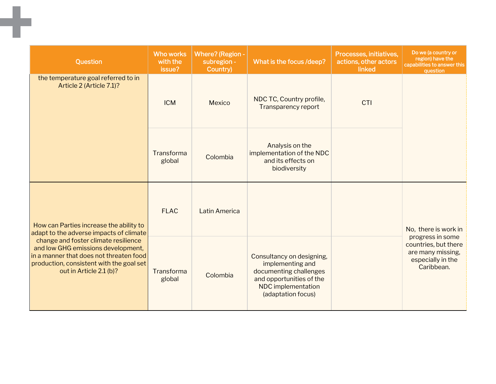| Question                                                                                                                                                                                                                                | <b>Who works</b><br>with the<br>issue? | <b>Where?</b> (Region -<br>subregion -<br>Country) | What is the focus /deep?                                                                                                                        | Processes, initiatives,<br>actions, other actors<br>linked | Do we (a country or<br>region) have the<br>capabilities to answer this<br>question               |
|-----------------------------------------------------------------------------------------------------------------------------------------------------------------------------------------------------------------------------------------|----------------------------------------|----------------------------------------------------|-------------------------------------------------------------------------------------------------------------------------------------------------|------------------------------------------------------------|--------------------------------------------------------------------------------------------------|
| the temperature goal referred to in<br>Article 2 (Article 7.1)?                                                                                                                                                                         | <b>ICM</b>                             | Mexico                                             | NDC TC, Country profile,<br><b>Transparency report</b>                                                                                          | CTI                                                        |                                                                                                  |
|                                                                                                                                                                                                                                         | Transforma<br>global                   | Colombia                                           | Analysis on the<br>implementation of the NDC<br>and its effects on<br>biodiversity                                                              |                                                            |                                                                                                  |
| How can Parties increase the ability to                                                                                                                                                                                                 | <b>FLAC</b>                            | <b>Latin America</b>                               |                                                                                                                                                 |                                                            | No, there is work in                                                                             |
| adapt to the adverse impacts of climate<br>change and foster climate resilience<br>and low GHG emissions development,<br>in a manner that does not threaten food<br>production, consistent with the goal set<br>out in Article 2.1 (b)? | Transforma<br>global                   | Colombia                                           | Consultancy on designing,<br>implementing and<br>documenting challenges<br>and opportunities of the<br>NDC implementation<br>(adaptation focus) |                                                            | progress in some<br>countries, but there<br>are many missing,<br>especially in the<br>Caribbean. |

m.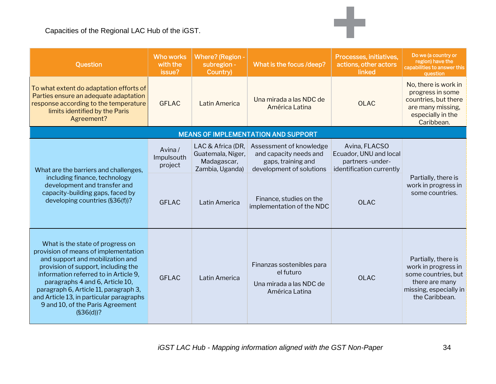| Question                                                                                                                                                                                                                                                                                                                                                              | <b>Who works</b><br>with the<br>issue? | <b>Where? (Region -</b><br>subregion -<br>Country)                       | What is the focus /deep?                                                                            | Processes, initiatives,<br>actions, other actors<br>linked                             | Do we (a country or<br>region) have the<br>capabilities to answer this<br>question                                              |
|-----------------------------------------------------------------------------------------------------------------------------------------------------------------------------------------------------------------------------------------------------------------------------------------------------------------------------------------------------------------------|----------------------------------------|--------------------------------------------------------------------------|-----------------------------------------------------------------------------------------------------|----------------------------------------------------------------------------------------|---------------------------------------------------------------------------------------------------------------------------------|
| To what extent do adaptation efforts of<br>Parties ensure an adequate adaptation<br>response according to the temperature<br>limits identified by the Paris<br>Agreement?                                                                                                                                                                                             | <b>GFLAC</b>                           | Latin America                                                            | Una mirada a las NDC de<br>América Latina                                                           | <b>OLAC</b>                                                                            | No, there is work in<br>progress in some<br>countries, but there<br>are many missing,<br>especially in the<br>Caribbean.        |
|                                                                                                                                                                                                                                                                                                                                                                       |                                        |                                                                          | <b>MEANS OF IMPLEMENTATION AND SUPPORT</b>                                                          |                                                                                        |                                                                                                                                 |
| What are the barriers and challenges,<br>including finance, technology<br>development and transfer and<br>capacity-building gaps, faced by<br>developing countries (§36(f))?                                                                                                                                                                                          | Avina/<br>Impulsouth<br>project        | LAC & Africa (DR,<br>Guatemala, Niger,<br>Madagascar,<br>Zambia, Uganda) | Assessment of knowledge<br>and capacity needs and<br>gaps, training and<br>development of solutions | Avina, FLACSO<br>Ecuador, UNU and local<br>partners-under-<br>identification currently |                                                                                                                                 |
|                                                                                                                                                                                                                                                                                                                                                                       | <b>GFLAC</b>                           | Latin America                                                            | Finance, studies on the<br>implementation of the NDC                                                | <b>OLAC</b>                                                                            | Partially, there is<br>work in progress in<br>some countries.                                                                   |
| What is the state of progress on<br>provision of means of implementation<br>and support and mobilization and<br>provision of support, including the<br>information referred to in Article 9,<br>paragraphs 4 and 6, Article 10,<br>paragraph 6, Article 11, paragraph 3,<br>and Article 13, in particular paragraphs<br>9 and 10, of the Paris Agreement<br>(S36(d))? | <b>GFLAC</b>                           | Latin America                                                            | Finanzas sostenibles para<br>el futuro<br>Una mirada a las NDC de<br>América Latina                 | <b>OLAC</b>                                                                            | Partially, there is<br>work in progress in<br>some countries, but<br>there are many<br>missing, especially in<br>the Caribbean. |

÷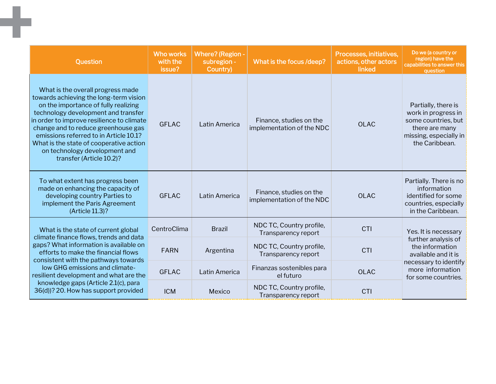| Question                                                                                                                                                                                                                                                                                                                                                                                         | <b>Who works</b><br>with the<br><b>issue?</b> | <b>Where?</b> (Region -<br>subregion -<br>Country) | What is the focus /deep?                             | Processes, initiatives,<br>actions, other actors<br>linked | Do we (a country or<br>region) have the<br>capabilities to answer this<br>question                                              |
|--------------------------------------------------------------------------------------------------------------------------------------------------------------------------------------------------------------------------------------------------------------------------------------------------------------------------------------------------------------------------------------------------|-----------------------------------------------|----------------------------------------------------|------------------------------------------------------|------------------------------------------------------------|---------------------------------------------------------------------------------------------------------------------------------|
| What is the overall progress made<br>towards achieving the long-term vision<br>on the importance of fully realizing<br>technology development and transfer<br>in order to improve resilience to climate<br>change and to reduce greenhouse gas<br>emissions referred to in Article 10.1?<br>What is the state of cooperative action<br>on technology development and<br>transfer (Article 10.2)? | <b>GFLAC</b>                                  | Latin America                                      | Finance, studies on the<br>implementation of the NDC | <b>OLAC</b>                                                | Partially, there is<br>work in progress in<br>some countries, but<br>there are many<br>missing, especially in<br>the Caribbean. |
| To what extent has progress been<br>made on enhancing the capacity of<br>developing country Parties to<br>implement the Paris Agreement<br>(Article 11.3)?                                                                                                                                                                                                                                       | <b>GFLAC</b>                                  | Latin America                                      | Finance, studies on the<br>implementation of the NDC | <b>OLAC</b>                                                | Partially. There is no<br>information<br>identified for some<br>countries, especially<br>in the Caribbean.                      |
| What is the state of current global<br>climate finance flows, trends and data<br>gaps? What information is available on<br>efforts to make the financial flows<br>consistent with the pathways towards<br>low GHG emissions and climate-<br>resilient development and what are the<br>knowledge gaps (Article 2.1(c), para<br>36(d))? 20. How has support provided                               | CentroClima                                   | <b>Brazil</b>                                      | NDC TC, Country profile,<br>Transparency report      | CTI                                                        | Yes. It is necessary                                                                                                            |
|                                                                                                                                                                                                                                                                                                                                                                                                  | <b>FARN</b>                                   | Argentina                                          | NDC TC, Country profile,<br>Transparency report      | CTI                                                        | further analysis of<br>the information<br>available and it is                                                                   |
|                                                                                                                                                                                                                                                                                                                                                                                                  | <b>GFLAC</b>                                  | Latin America                                      | Finanzas sostenibles para<br>el futuro               | <b>OLAC</b>                                                | necessary to identify<br>more information<br>for some countries.                                                                |
|                                                                                                                                                                                                                                                                                                                                                                                                  | <b>ICM</b>                                    | Mexico                                             | NDC TC, Country profile,<br>Transparency report      | CTI                                                        |                                                                                                                                 |

-1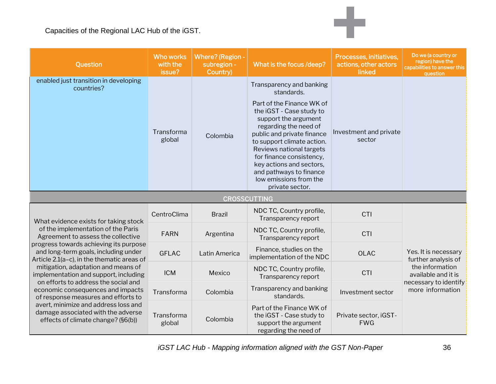| Question                                                                                                                                                                                                                                                                                                                                                                                                     | <b>Who works</b><br>with the<br>issue? | <b>Where? (Region -</b><br>subregion -<br>Country) | What is the focus /deep?                                                                                                                                                                                                                                                                                                                                                 | Processes, initiatives,<br>actions, other actors<br>linked | Do we (a country or<br>region) have the<br>capabilities to answer this<br>question                                                 |
|--------------------------------------------------------------------------------------------------------------------------------------------------------------------------------------------------------------------------------------------------------------------------------------------------------------------------------------------------------------------------------------------------------------|----------------------------------------|----------------------------------------------------|--------------------------------------------------------------------------------------------------------------------------------------------------------------------------------------------------------------------------------------------------------------------------------------------------------------------------------------------------------------------------|------------------------------------------------------------|------------------------------------------------------------------------------------------------------------------------------------|
| enabled just transition in developing<br>countries?                                                                                                                                                                                                                                                                                                                                                          | Transforma<br>global                   | Colombia                                           | Transparency and banking<br>standards.<br>Part of the Finance WK of<br>the iGST - Case study to<br>support the argument<br>regarding the need of<br>public and private finance<br>to support climate action.<br>Reviews national targets<br>for finance consistency,<br>key actions and sectors,<br>and pathways to finance<br>low emissions from the<br>private sector. | Investment and private<br>sector                           |                                                                                                                                    |
|                                                                                                                                                                                                                                                                                                                                                                                                              |                                        |                                                    | <b>CROSSCUTTING</b>                                                                                                                                                                                                                                                                                                                                                      |                                                            |                                                                                                                                    |
| What evidence exists for taking stock                                                                                                                                                                                                                                                                                                                                                                        | CentroClima                            | <b>Brazil</b>                                      | NDC TC, Country profile,<br>Transparency report                                                                                                                                                                                                                                                                                                                          | CTI                                                        |                                                                                                                                    |
| of the implementation of the Paris<br>Agreement to assess the collective<br>progress towards achieving its purpose<br>and long-term goals, including under<br>Article 2.1(a-c), in the thematic areas of<br>mitigation, adaptation and means of<br>implementation and support, including<br>on efforts to address the social and<br>economic consequences and impacts<br>of response measures and efforts to | <b>FARN</b>                            | Argentina                                          | NDC TC, Country profile,<br>Transparency report                                                                                                                                                                                                                                                                                                                          | CTI                                                        |                                                                                                                                    |
|                                                                                                                                                                                                                                                                                                                                                                                                              | <b>GFLAC</b>                           | Latin America                                      | Finance, studies on the<br>implementation of the NDC                                                                                                                                                                                                                                                                                                                     | <b>OLAC</b>                                                | Yes. It is necessary<br>further analysis of<br>the information<br>available and it is<br>necessary to identify<br>more information |
|                                                                                                                                                                                                                                                                                                                                                                                                              | <b>ICM</b>                             | Mexico                                             | NDC TC, Country profile,<br>Transparency report                                                                                                                                                                                                                                                                                                                          | CTI                                                        |                                                                                                                                    |
|                                                                                                                                                                                                                                                                                                                                                                                                              | Transforma                             | Colombia                                           | Transparency and banking<br>standards.                                                                                                                                                                                                                                                                                                                                   | Investment sector                                          |                                                                                                                                    |
| avert, minimize and address loss and<br>damage associated with the adverse<br>effects of climate change? (§6(b))                                                                                                                                                                                                                                                                                             | Transforma<br>global                   | Colombia                                           | Part of the Finance WK of<br>the iGST - Case study to<br>support the argument<br>regarding the need of                                                                                                                                                                                                                                                                   | Private sector, iGST-<br><b>FWG</b>                        |                                                                                                                                    |

÷

*iGST LAC Hub - Mapping information aligned with the GST Non-Paper* 36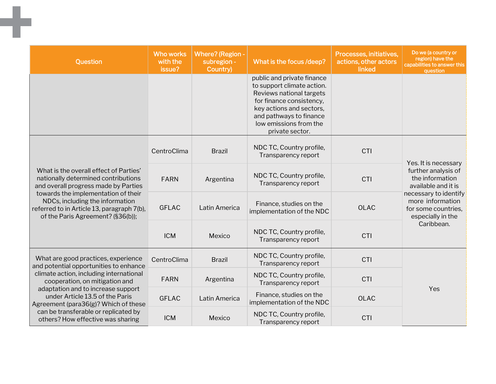| Question                                                                                                                                                                                                                                                                                                                                                 | <b>Who works</b><br>with the<br>issue? | Where? (Region -<br>subregion -<br>Country) | What is the focus /deep?                                                                                                                                                                                             | Processes, initiatives,<br>actions, other actors<br>linked | Do we (a country or<br>region) have the<br>capabilities to answer this<br>question                                                                                                           |
|----------------------------------------------------------------------------------------------------------------------------------------------------------------------------------------------------------------------------------------------------------------------------------------------------------------------------------------------------------|----------------------------------------|---------------------------------------------|----------------------------------------------------------------------------------------------------------------------------------------------------------------------------------------------------------------------|------------------------------------------------------------|----------------------------------------------------------------------------------------------------------------------------------------------------------------------------------------------|
|                                                                                                                                                                                                                                                                                                                                                          |                                        |                                             | public and private finance<br>to support climate action.<br>Reviews national targets<br>for finance consistency,<br>key actions and sectors,<br>and pathways to finance<br>low emissions from the<br>private sector. |                                                            |                                                                                                                                                                                              |
| What is the overall effect of Parties'<br>nationally determined contributions<br>and overall progress made by Parties<br>towards the implementation of their<br>NDCs, including the information<br>referred to in Article 13, paragraph 7(b),<br>of the Paris Agreement? (§36(b));                                                                       | CentroClima                            | <b>Brazil</b>                               | NDC TC, Country profile,<br>Transparency report                                                                                                                                                                      | CTI                                                        | Yes. It is necessary<br>further analysis of<br>the information<br>available and it is<br>necessary to identify<br>more information<br>for some countries,<br>especially in the<br>Caribbean. |
|                                                                                                                                                                                                                                                                                                                                                          | <b>FARN</b>                            | Argentina                                   | NDC TC, Country profile,<br>Transparency report                                                                                                                                                                      | CTI                                                        |                                                                                                                                                                                              |
|                                                                                                                                                                                                                                                                                                                                                          | <b>GFLAC</b>                           | Latin America                               | Finance, studies on the<br>implementation of the NDC                                                                                                                                                                 | <b>OLAC</b>                                                |                                                                                                                                                                                              |
|                                                                                                                                                                                                                                                                                                                                                          | <b>ICM</b>                             | Mexico                                      | NDC TC, Country profile,<br>Transparency report                                                                                                                                                                      | CTI                                                        |                                                                                                                                                                                              |
| What are good practices, experience<br>and potential opportunities to enhance<br>climate action, including international<br>cooperation, on mitigation and<br>adaptation and to increase support<br>under Article 13.5 of the Paris<br>Agreement (para36(g)? Which of these<br>can be transferable or replicated by<br>others? How effective was sharing | CentroClima                            | <b>Brazil</b>                               | NDC TC, Country profile,<br>Transparency report                                                                                                                                                                      | CTI                                                        | Yes                                                                                                                                                                                          |
|                                                                                                                                                                                                                                                                                                                                                          | <b>FARN</b>                            | Argentina                                   | NDC TC, Country profile,<br>Transparency report                                                                                                                                                                      | CTI                                                        |                                                                                                                                                                                              |
|                                                                                                                                                                                                                                                                                                                                                          | <b>GFLAC</b>                           | Latin America                               | Finance, studies on the<br>implementation of the NDC                                                                                                                                                                 | <b>OLAC</b>                                                |                                                                                                                                                                                              |
|                                                                                                                                                                                                                                                                                                                                                          | <b>ICM</b>                             | Mexico                                      | NDC TC, Country profile,<br>Transparency report                                                                                                                                                                      | CTI                                                        |                                                                                                                                                                                              |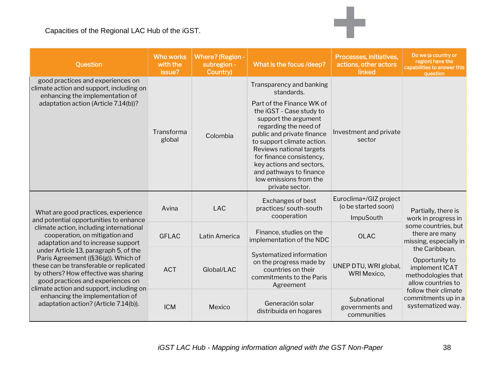| Question                                                                                                                                                                                                                                                                                                                                                                                                                                                                                                                         | <b>Who works</b><br>with the<br>issue? | <b>Where?</b> (Region -<br>subregion -<br>Country) | What is the focus /deep?                                                                                                                                                                                                                                                                                                                                                 | Processes, initiatives,<br>actions, other actors<br>linked | Do we (a country or<br>region) have the<br>capabilities to answer this<br>question                                                                                                                                                                                                  |
|----------------------------------------------------------------------------------------------------------------------------------------------------------------------------------------------------------------------------------------------------------------------------------------------------------------------------------------------------------------------------------------------------------------------------------------------------------------------------------------------------------------------------------|----------------------------------------|----------------------------------------------------|--------------------------------------------------------------------------------------------------------------------------------------------------------------------------------------------------------------------------------------------------------------------------------------------------------------------------------------------------------------------------|------------------------------------------------------------|-------------------------------------------------------------------------------------------------------------------------------------------------------------------------------------------------------------------------------------------------------------------------------------|
| good practices and experiences on<br>climate action and support, including on<br>enhancing the implementation of<br>adaptation action (Article 7.14(b))?                                                                                                                                                                                                                                                                                                                                                                         | Transforma<br>global                   | Colombia                                           | Transparency and banking<br>standards.<br>Part of the Finance WK of<br>the iGST - Case study to<br>support the argument<br>regarding the need of<br>public and private finance<br>to support climate action.<br>Reviews national targets<br>for finance consistency,<br>key actions and sectors,<br>and pathways to finance<br>low emissions from the<br>private sector. | Investment and private<br>sector                           |                                                                                                                                                                                                                                                                                     |
| What are good practices, experience<br>and potential opportunities to enhance<br>climate action, including international<br>cooperation, on mitigation and<br>adaptation and to increase support<br>under Article 13, paragraph 5, of the<br>Paris Agreement ((§36(g)). Which of<br>these can be transferable or replicated<br>by others? How effective was sharing<br>good practices and experiences on<br>climate action and support, including on<br>enhancing the implementation of<br>adaptation action? (Article 7.14(b)). | Avina                                  | <b>LAC</b>                                         | Exchanges of best<br>practices/south-south<br>cooperation                                                                                                                                                                                                                                                                                                                | Euroclima+/GIZ project<br>(o be started soon)<br>ImpuSouth | Partially, there is<br>work in progress in<br>some countries, but<br>there are many<br>missing, especially in<br>the Caribbean.<br>Opportunity to<br>implement ICAT<br>methodologies that<br>allow countries to<br>follow their climate<br>commitments up in a<br>systematized way. |
|                                                                                                                                                                                                                                                                                                                                                                                                                                                                                                                                  | <b>GFLAC</b>                           | Latin America                                      | Finance, studies on the<br>implementation of the NDC                                                                                                                                                                                                                                                                                                                     | <b>OLAC</b>                                                |                                                                                                                                                                                                                                                                                     |
|                                                                                                                                                                                                                                                                                                                                                                                                                                                                                                                                  | <b>ACT</b>                             | Global/LAC                                         | Systematized information<br>on the progress made by<br>countries on their<br>commitments to the Paris<br>Agreement                                                                                                                                                                                                                                                       | UNEP DTU, WRI global,<br><b>WRI Mexico,</b>                |                                                                                                                                                                                                                                                                                     |
|                                                                                                                                                                                                                                                                                                                                                                                                                                                                                                                                  | <b>ICM</b>                             | Mexico                                             | Generación solar<br>distribuida en hogares                                                                                                                                                                                                                                                                                                                               | Subnational<br>governments and<br>communities              |                                                                                                                                                                                                                                                                                     |

÷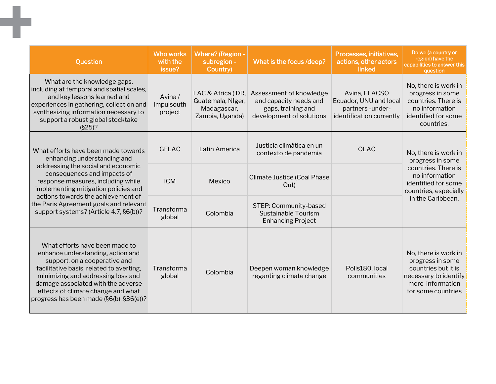| <b>Question</b>                                                                                                                                                                                                                                                                                                                                 | <b>Who works</b><br>with the<br>issue? | <b>Where? (Region -</b><br>subregion -<br>Country)                       | What is the focus /deep?                                                                            | Processes, initiatives,<br>actions, other actors<br>linked                             | Do we (a country or<br>region) have the<br>capabilities to answer this<br>question                                                                     |
|-------------------------------------------------------------------------------------------------------------------------------------------------------------------------------------------------------------------------------------------------------------------------------------------------------------------------------------------------|----------------------------------------|--------------------------------------------------------------------------|-----------------------------------------------------------------------------------------------------|----------------------------------------------------------------------------------------|--------------------------------------------------------------------------------------------------------------------------------------------------------|
| What are the knowledge gaps,<br>including at temporal and spatial scales,<br>and key lessons learned and<br>experiences in gathering, collection and<br>synthesizing information necessary to<br>support a robust global stocktake<br>$(S25)$ ?                                                                                                 | Avina/<br>Impulsouth<br>project        | LAC & Africa (DR,<br>Guatemala, NIger,<br>Madagascar,<br>Zambia, Uganda) | Assessment of knowledge<br>and capacity needs and<br>gaps, training and<br>development of solutions | Avina, FLACSO<br>Ecuador, UNU and local<br>partners-under-<br>identification currently | No, there is work in<br>progress in some<br>countries. There is<br>no information<br>identified for some<br>countries.                                 |
| What efforts have been made towards<br>enhancing understanding and<br>addressing the social and economic<br>consequences and impacts of<br>response measures, including while<br>implementing mitigation policies and<br>actions towards the achievement of<br>the Paris Agreement goals and relevant<br>support systems? (Article 4.7, §6(b))? | <b>GFLAC</b>                           | Latin America                                                            | Justicia climática en un<br>contexto de pandemia                                                    | <b>OLAC</b>                                                                            | No, there is work in<br>progress in some<br>countries. There is<br>no information<br>identified for some<br>countries, especially<br>in the Caribbean. |
|                                                                                                                                                                                                                                                                                                                                                 | <b>ICM</b>                             | Mexico                                                                   | <b>Climate Justice (Coal Phase</b><br>Out)                                                          |                                                                                        |                                                                                                                                                        |
|                                                                                                                                                                                                                                                                                                                                                 | Transforma<br>global                   | Colombia                                                                 | STEP: Community-based<br>Sustainable Tourism<br><b>Enhancing Project</b>                            |                                                                                        |                                                                                                                                                        |
| What efforts have been made to<br>enhance understanding, action and<br>support, on a cooperative and<br>facilitative basis, related to averting,<br>minimizing and addressing loss and<br>damage associated with the adverse<br>effects of climate change and what<br>progress has been made (§6(b), §36(e))?                                   | Transforma<br>global                   | Colombia                                                                 | Deepen woman knowledge<br>regarding climate change                                                  | Polis180, local<br>communities                                                         | No, there is work in<br>progress in some<br>countries but it is<br>necessary to identify<br>more information<br>for some countries                     |

m,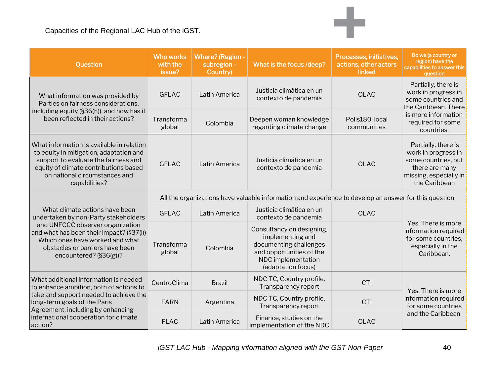| Question                                                                                                                                                                                                                                            | <b>Who works</b><br>with the<br>issue?                                                                | <b>Where? (Region -</b><br>subregion -<br>Country) | What is the focus /deep?                                                                                                                        | Processes, initiatives,<br>actions, other actors<br>linked | Do we (a country or<br>region) have the<br>capabilities to answer this<br>question                                                                 |  |
|-----------------------------------------------------------------------------------------------------------------------------------------------------------------------------------------------------------------------------------------------------|-------------------------------------------------------------------------------------------------------|----------------------------------------------------|-------------------------------------------------------------------------------------------------------------------------------------------------|------------------------------------------------------------|----------------------------------------------------------------------------------------------------------------------------------------------------|--|
| What information was provided by<br>Parties on fairness considerations,<br>including equity (§36(h)), and how has it<br>been reflected in their actions?                                                                                            | <b>GFLAC</b>                                                                                          | Latin America                                      | Justicia climática en un<br>contexto de pandemia                                                                                                | <b>OLAC</b>                                                | Partially, there is<br>work in progress in<br>some countries and<br>the Caribbean. There<br>is more information<br>required for some<br>countries. |  |
|                                                                                                                                                                                                                                                     | Transforma<br>global                                                                                  | Colombia                                           | Deepen woman knowledge<br>regarding climate change                                                                                              | Polis180, local<br>communities                             |                                                                                                                                                    |  |
| What information is available in relation<br>to equity in mitigation, adaptation and<br>support to evaluate the fairness and<br>equity of climate contributions based<br>on national circumstances and<br>capabilities?                             | <b>GFLAC</b>                                                                                          | Latin America                                      | Justicia climática en un<br>contexto de pandemia                                                                                                | <b>OLAC</b>                                                | Partially, there is<br>work in progress in<br>some countries, but<br>there are many<br>missing, especially in<br>the Caribbean                     |  |
|                                                                                                                                                                                                                                                     | All the organizations have valuable information and experience to develop an answer for this question |                                                    |                                                                                                                                                 |                                                            |                                                                                                                                                    |  |
| What climate actions have been<br>undertaken by non-Party stakeholders                                                                                                                                                                              | <b>GFLAC</b>                                                                                          | Latin America                                      | Justicia climática en un<br>contexto de pandemia                                                                                                | <b>OLAC</b>                                                |                                                                                                                                                    |  |
| and UNFCCC observer organization<br>and what has been their impact? (§37(i))<br>Which ones have worked and what<br>obstacles or barriers have been<br>encountered? $(S36(g))$ ?                                                                     | Transforma<br>global                                                                                  | Colombia                                           | Consultancy on designing,<br>implementing and<br>documenting challenges<br>and opportunities of the<br>NDC implementation<br>(adaptation focus) |                                                            | Yes. There is more<br>information required<br>for some countries,<br>especially in the<br>Caribbean.                                               |  |
| What additional information is needed<br>to enhance ambition, both of actions to<br>take and support needed to achieve the<br>long-term goals of the Paris<br>Agreement, including by enhancing<br>international cooperation for climate<br>action? | CentroClima                                                                                           | <b>Brazil</b>                                      | NDC TC, Country profile,<br>Transparency report                                                                                                 | CTI                                                        |                                                                                                                                                    |  |
|                                                                                                                                                                                                                                                     | <b>FARN</b>                                                                                           | Argentina                                          | NDC TC, Country profile,<br>Transparency report                                                                                                 | CTI                                                        | Yes. There is more<br>information required<br>for some countries                                                                                   |  |
|                                                                                                                                                                                                                                                     | <b>FLAC</b>                                                                                           | Latin America                                      | Finance, studies on the<br>implementation of the NDC                                                                                            | <b>OLAC</b>                                                | and the Caribbean.                                                                                                                                 |  |

÷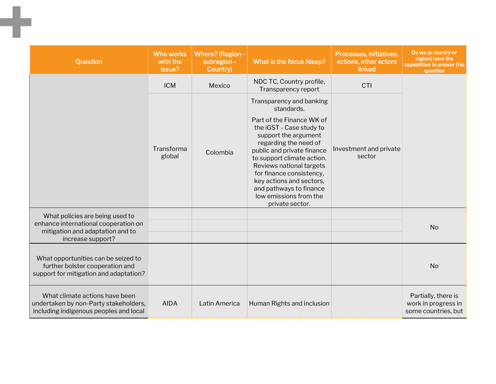| Question                                                                                                                         | <b>Who works</b><br>with the<br>issue? | <b>Where?</b> (Region -<br>subregion -<br>Country) | What is the focus /deep?                                                                                                                                                                                                                                                                                                                                                 | Processes, initiatives,<br>actions, other actors<br>linked | Do we (a country or<br>region) have the<br>capabilities to answer this<br>question |
|----------------------------------------------------------------------------------------------------------------------------------|----------------------------------------|----------------------------------------------------|--------------------------------------------------------------------------------------------------------------------------------------------------------------------------------------------------------------------------------------------------------------------------------------------------------------------------------------------------------------------------|------------------------------------------------------------|------------------------------------------------------------------------------------|
|                                                                                                                                  | <b>ICM</b>                             | Mexico                                             | NDC TC, Country profile,<br>Transparency report                                                                                                                                                                                                                                                                                                                          | <b>CTI</b>                                                 |                                                                                    |
|                                                                                                                                  | Transforma<br>global                   | Colombia                                           | Transparency and banking<br>standards.<br>Part of the Finance WK of<br>the iGST - Case study to<br>support the argument<br>regarding the need of<br>public and private finance<br>to support climate action.<br>Reviews national targets<br>for finance consistency,<br>key actions and sectors,<br>and pathways to finance<br>low emissions from the<br>private sector. | Investment and private<br>sector                           |                                                                                    |
| What policies are being used to<br>enhance international cooperation on<br>mitigation and adaptation and to<br>increase support? |                                        |                                                    |                                                                                                                                                                                                                                                                                                                                                                          |                                                            | <b>No</b>                                                                          |
| What opportunities can be seized to<br>further bolster cooperation and<br>support for mitigation and adaptation?                 |                                        |                                                    |                                                                                                                                                                                                                                                                                                                                                                          |                                                            | <b>No</b>                                                                          |
| What climate actions have been<br>undertaken by non-Party stakeholders,<br>including indigenous peoples and local                | <b>AIDA</b>                            | Latin America                                      | Human Rights and inclusion                                                                                                                                                                                                                                                                                                                                               |                                                            | Partially, there is<br>work in progress in<br>some countries, but                  |

٠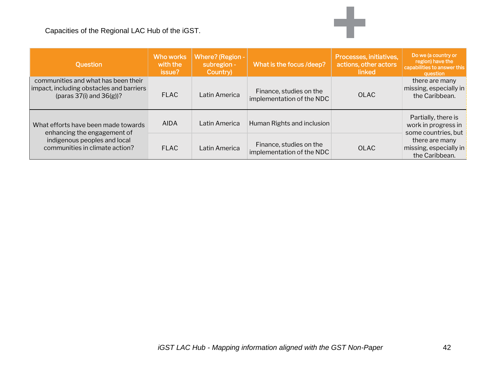| <b>Ouestion</b>                                                                                                                      | Who works<br>with the<br>issue? | Where? (Region -<br>subregion -<br>Country) | What is the focus /deep?                             | Processes, initiatives,<br>actions, other actors<br>linked | Do we (a country or<br>region) have the<br>capabilities to answer this<br>question                                              |
|--------------------------------------------------------------------------------------------------------------------------------------|---------------------------------|---------------------------------------------|------------------------------------------------------|------------------------------------------------------------|---------------------------------------------------------------------------------------------------------------------------------|
| communities and what has been their<br>impact, including obstacles and barriers<br>(paras $37(i)$ and $36(g)$ )?                     | <b>FLAC</b>                     | Latin America                               | Finance, studies on the<br>implementation of the NDC | OLAC                                                       | there are many<br>missing, especially in<br>the Caribbean.                                                                      |
| What efforts have been made towards<br>enhancing the engagement of<br>indigenous peoples and local<br>communities in climate action? | <b>AIDA</b>                     | Latin America                               | Human Rights and inclusion                           |                                                            | Partially, there is<br>work in progress in<br>some countries, but<br>there are many<br>missing, especially in<br>the Caribbean. |
|                                                                                                                                      | <b>FLAC</b>                     | Latin America                               | Finance, studies on the<br>implementation of the NDC | OLAC                                                       |                                                                                                                                 |

÷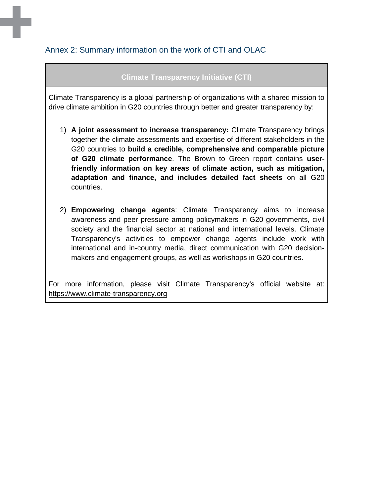### <span id="page-42-0"></span>Annex 2: Summary information on the work of CTI and OLAC

### **Climate Transparency Initiative (CTI)**

Climate Transparency is a global partnership of organizations with a shared mission to drive climate ambition in G20 countries through better and greater transparency by:

- 1) **A joint assessment to increase transparency:** Climate Transparency brings together the climate assessments and expertise of different stakeholders in the G20 countries to **build a credible, comprehensive and comparable picture of G20 climate performance**. The Brown to Green report contains **userfriendly information on key areas of climate action, such as mitigation, adaptation and finance, and includes detailed fact sheets** on all G20 countries.
- 2) **Empowering change agents**: Climate Transparency aims to increase awareness and peer pressure among policymakers in G20 governments, civil society and the financial sector at national and international levels. Climate Transparency's activities to empower change agents include work with international and in-country media, direct communication with G20 decisionmakers and engagement groups, as well as workshops in G20 countries.

For more information, please visit Climate Transparency's official website at[:](https://www.climate-transparency.org/) [https://www.climate-transparency.org](https://www.climate-transparency.org/)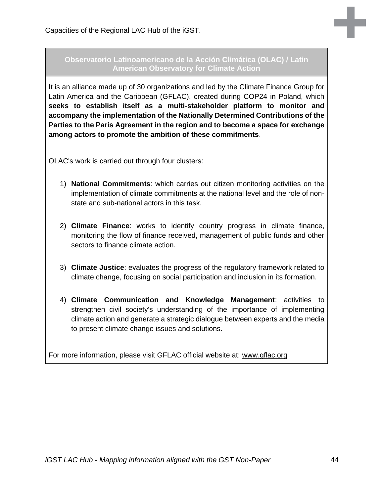#### **Observatorio Latinoamericano de la Acción Climática (OLAC) / Latin American Observatory for Climate Action**

It is an alliance made up of 30 organizations and led by the Climate Finance Group for Latin America and the Caribbean (GFLAC), created during COP24 in Poland, which **seeks to establish itself as a multi-stakeholder platform to monitor and accompany the implementation of the Nationally Determined Contributions of the Parties to the Paris Agreement in the region and to become a space for exchange among actors to promote the ambition of these commitments**.

OLAC's work is carried out through four clusters:

- 1) **National Commitments**: which carries out citizen monitoring activities on the implementation of climate commitments at the national level and the role of nonstate and sub-national actors in this task.
- 2) **Climate Finance**: works to identify country progress in climate finance, monitoring the flow of finance received, management of public funds and other sectors to finance climate action.
- 3) **Climate Justice**: evaluates the progress of the regulatory framework related to climate change, focusing on social participation and inclusion in its formation.
- 4) **Climate Communication and Knowledge Management**: activities to strengthen civil society's understanding of the importance of implementing climate action and generate a strategic dialogue between experts and the media to present climate change issues and solutions.

For more information, please visit GFLAC official website at: [www.gflac.org](http://www.gflac.org/)